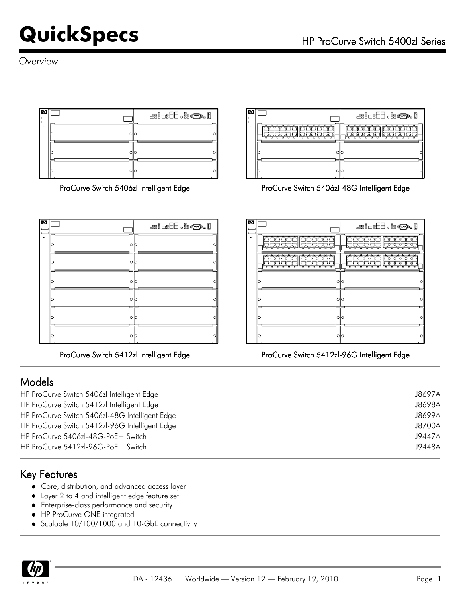*Overview*





### Models

HP ProCurve Switch 5406zl Intelligent Edge J8697A HP ProCurve Switch 5412zl Intelligent Edge J8698A HP ProCurve Switch 5406zl-48G Intelligent Edge J8699A HP ProCurve Switch 5412zl-96G Intelligent Edge J8700A HP ProCurve 5406zl-48G-PoE+ Switch J9447A HP ProCurve 5412zl-96G-PoE+ Switch J9448A

### Key Features

- Core, distribution, and advanced access layer
- Layer 2 to 4 and intelligent edge feature set
- Enterprise-class performance and security
- HP ProCurve ONE integrated
- Scalable 10/100/1000 and 10-GbE connectivity





ProCurve Switch 5406zl Intelligent Edge ProCurve Switch 5406zl-48G Intelligent Edge

| Ø       |        |      |      | æio:H- J:@.                                         |  |
|---------|--------|------|------|-----------------------------------------------------|--|
| $\circ$ | n<br>o |      |      | $n - n$<br>п.<br>a<br>P<br>$\overline{a}$<br>n<br>P |  |
|         |        |      |      | o<br>o<br>≏<br>£                                    |  |
|         | O      | ollo |      |                                                     |  |
|         | lo     |      | ollo |                                                     |  |
|         | O      | 이    |      |                                                     |  |
|         | Ю      |      | O  O |                                                     |  |

### ProCurve Switch 5412zl Intelligent Edge ProCurve Switch 5412zl-96G Intelligent Edge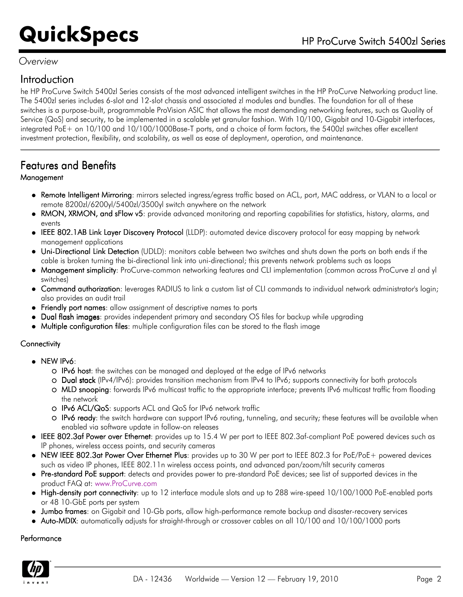### *Overview*

### Introduction

he HP ProCurve Switch 5400zl Series consists of the most advanced intelligent switches in the HP ProCurve Networking product line. The 5400zl series includes 6-slot and 12-slot chassis and associated zl modules and bundles. The foundation for all of these switches is a purpose-built, programmable ProVision ASIC that allows the most demanding networking features, such as Quality of Service (QoS) and security, to be implemented in a scalable yet granular fashion. With 10/100, Gigabit and 10-Gigabit interfaces, integrated PoE+ on 10/100 and 10/100/1000Base-T ports, and a choice of form factors, the 5400zl switches offer excellent investment protection, flexibility, and scalability, as well as ease of deployment, operation, and maintenance.

### Features and Benefits

### **Management**

- Remote Intelligent Mirroring: mirrors selected ingress/egress traffic based on ACL, port, MAC address, or VLAN to a local or remote 8200zl/6200yl/5400zl/3500yl switch anywhere on the network
- RMON, XRMON, and sFlow v5: provide advanced monitoring and reporting capabilities for statistics, history, alarms, and events
- IEEE 802.1AB Link Layer Discovery Protocol (LLDP): automated device discovery protocol for easy mapping by network management applications
- Uni-Directional Link Detection (UDLD): monitors cable between two switches and shuts down the ports on both ends if the cable is broken turning the bi-directional link into uni-directional; this prevents network problems such as loops
- Management simplicity: ProCurve-common networking features and CLI implementation (common across ProCurve zl and yl switches)
- Command authorization: leverages RADIUS to link a custom list of CLI commands to individual network administrator's login; also provides an audit trail
- Friendly port names: allow assignment of descriptive names to ports
- Dual flash images: provides independent primary and secondary OS files for backup while upgrading
- Multiple configuration files: multiple configuration files can be stored to the flash image

### **Connectivity**

- $\bullet$  NEW IPv6:
	- O IPv6 host: the switches can be managed and deployed at the edge of IPv6 networks
	- O Dual stack (IPv4/IPv6): provides transition mechanism from IPv4 to IPv6; supports connectivity for both protocols
	- MLD snooping: forwards IPv6 multicast traffic to the appropriate interface; prevents IPv6 multicast traffic from flooding the network
	- IPv6 ACL/QoS: supports ACL and QoS for IPv6 network traffic
	- O IPv6 ready: the switch hardware can support IPv6 routing, tunneling, and security; these features will be available when enabled via software update in follow-on releases
- IEEE 802.3af Power over Ethernet: provides up to 15.4 W per port to IEEE 802.3af-compliant PoE powered devices such as IP phones, wireless access points, and security cameras
- NEW IEEE 802.3at Power Over Ethernet Plus: provides up to 30 W per port to IEEE 802.3 for PoE/PoE+ powered devices such as video IP phones, IEEE 802.11n wireless access points, and advanced pan/zoom/tilt security cameras
- Pre-standard PoE support: detects and provides power to pre-standard PoE devices; see list of supported devices in the product FAQ at: [www.ProCurve.com](http://www.procurve.com)
- High-density port connectivity: up to 12 interface module slots and up to 288 wire-speed 10/100/1000 PoE-enabled ports or 48 10-GbE ports per system
- Jumbo frames: on Gigabit and 10-Gb ports, allow high-performance remote backup and disaster-recovery services
- Auto-MDIX: automatically adjusts for straight-through or crossover cables on all 10/100 and 10/100/1000 ports

### Performance

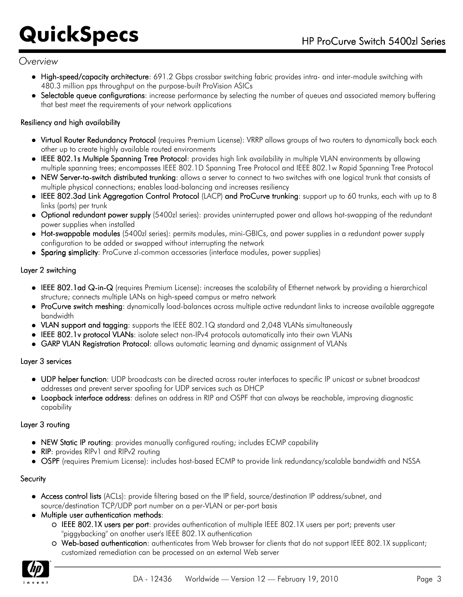### *Overview*

- High-speed/capacity architecture: 691.2 Gbps crossbar switching fabric provides intra- and inter-module switching with 480.3 million pps throughput on the purpose-built ProVision ASICs
- Selectable queue configurations: increase performance by selecting the number of queues and associated memory buffering that best meet the requirements of your network applications

### Resiliency and high availability

- Virtual Router Redundancy Protocol (requires Premium License): VRRP allows groups of two routers to dynamically back each other up to create highly available routed environments
- IEEE 802.1s Multiple Spanning Tree Protocol: provides high link availability in multiple VLAN environments by allowing multiple spanning trees; encompasses IEEE 802.1D Spanning Tree Protocol and IEEE 802.1w Rapid Spanning Tree Protocol
- NEW Server-to-switch distributed trunking: allows a server to connect to two switches with one logical trunk that consists of multiple physical connections; enables load-balancing and increases resiliency
- IEEE 802.3ad Link Aggregation Control Protocol (LACP) and ProCurve trunking: support up to 60 trunks, each with up to 8 links (ports) per trunk
- Optional redundant power supply (5400zl series): provides uninterrupted power and allows hot-swapping of the redundant power supplies when installed
- Hot-swappable modules (5400zl series): permits modules, mini-GBICs, and power supplies in a redundant power supply configuration to be added or swapped without interrupting the network
- Sparing simplicity: ProCurve zl-common accessories (interface modules, power supplies)

### Layer 2 switching

- IEEE 802.1ad Q-in-Q (requires Premium License): increases the scalability of Ethernet network by providing a hierarchical structure; connects multiple LANs on high-speed campus or metro network
- ProCurve switch meshing: dynamically load-balances across multiple active redundant links to increase available aggregate bandwidth
- VLAN support and tagging: supports the IEEE 802.1Q standard and 2,048 VLANs simultaneously
- IEEE 802.1v protocol VLANs: isolate select non-IPv4 protocols automatically into their own VLANs
- GARP VLAN Registration Protocol: allows automatic learning and dynamic assignment of VLANs

### Layer 3 services

- UDP helper function: UDP broadcasts can be directed across router interfaces to specific IP unicast or subnet broadcast addresses and prevent server spoofing for UDP services such as DHCP
- Loopback interface address: defines an address in RIP and OSPF that can always be reachable, improving diagnostic capability

### Layer 3 routing

- NEW Static IP routing: provides manually configured routing; includes ECMP capability
- RIP: provides RIPv1 and RIPv2 routing
- OSPF (requires Premium License): includes host-based ECMP to provide link redundancy/scalable bandwidth and NSSA

### **Security**

- Access control lists (ACLs): provide filtering based on the IP field, source/destination IP address/subnet, and source/destination TCP/UDP port number on a per-VLAN or per-port basis
- Multiple user authentication methods:
	- IEEE 802.1X users per port: provides authentication of multiple IEEE 802.1X users per port; prevents user "piggybacking" on another user's IEEE 802.1X authentication
	- Web-based authentication: authenticates from Web browser for clients that do not support IEEE 802.1X supplicant; customized remediation can be processed on an external Web server

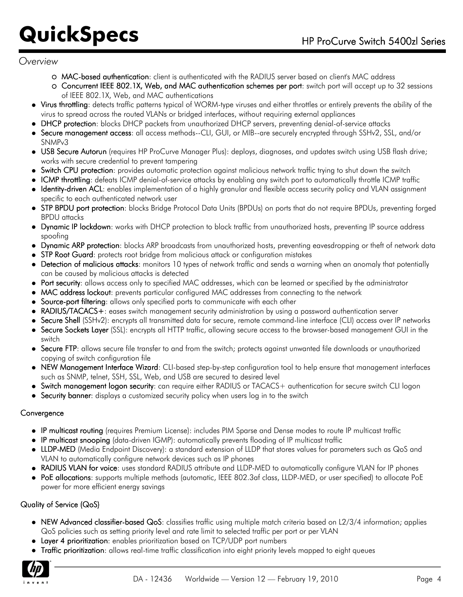### *Overview*

- MAC-based authentication: client is authenticated with the RADIUS server based on client's MAC address
- Concurrent IEEE 802.1X, Web, and MAC authentication schemes per port: switch port will accept up to 32 sessions of IEEE 802.1X, Web, and MAC authentications
- Virus throttling: detects traffic patterns typical of WORM-type viruses and either throttles or entirely prevents the ability of the virus to spread across the routed VLANs or bridged interfaces, without requiring external appliances
- DHCP protection: blocks DHCP packets from unauthorized DHCP servers, preventing denial-of-service attacks
- Secure management access: all access methods--CLI, GUI, or MIB--are securely encrypted through SSHv2, SSL, and/or SNMPv3
- USB Secure Autorun (requires HP ProCurve Manager Plus): deploys, diagnoses, and updates switch using USB flash drive; works with secure credential to prevent tampering
- Switch CPU protection: provides automatic protection against malicious network traffic trying to shut down the switch
- ICMP throttling: defeats ICMP denial-of-service attacks by enabling any switch port to automatically throttle ICMP traffic
- Identity-driven ACL: enables implementation of a highly granular and flexible access security policy and VLAN assignment specific to each authenticated network user
- STP BPDU port protection: blocks Bridge Protocol Data Units (BPDUs) on ports that do not require BPDUs, preventing forged BPDU attacks
- Dynamic IP lockdown: works with DHCP protection to block traffic from unauthorized hosts, preventing IP source address spoofing
- Dynamic ARP protection: blocks ARP broadcasts from unauthorized hosts, preventing eavesdropping or theft of network data
- STP Root Guard: protects root bridge from malicious attack or configuration mistakes
- Detection of malicious attacks: monitors 10 types of network traffic and sends a warning when an anomaly that potentially can be caused by malicious attacks is detected
- Port security: allows access only to specified MAC addresses, which can be learned or specified by the administrator
- MAC address lockout: prevents particular configured MAC addresses from connecting to the network
- Source-port filtering: allows only specified ports to communicate with each other
- RADIUS/TACACS+: eases switch management security administration by using a password authentication server
- Secure Shell (SSHv2): encrypts all transmitted data for secure, remote command-line interface (CLI) access over IP networks
- Secure Sockets Layer (SSL): encrypts all HTTP traffic, allowing secure access to the browser-based management GUI in the switch
- Secure FTP: allows secure file transfer to and from the switch; protects against unwanted file downloads or unauthorized copying of switch configuration file
- NEW Management Interface Wizard: CLI-based step-by-step configuration tool to help ensure that management interfaces such as SNMP, telnet, SSH, SSL, Web, and USB are secured to desired level
- Switch management logon security: can require either RADIUS or TACACS+ authentication for secure switch CLI logon
- Security banner: displays a customized security policy when users log in to the switch

### **Convergence**

- IP multicast routing (requires Premium License): includes PIM Sparse and Dense modes to route IP multicast traffic
- IP multicast snooping (data-driven IGMP): automatically prevents flooding of IP multicast traffic
- LLDP-MED (Media Endpoint Discovery): a standard extension of LLDP that stores values for parameters such as QoS and VLAN to automatically configure network devices such as IP phones
- RADIUS VLAN for voice: uses standard RADIUS attribute and LLDP-MED to automatically configure VLAN for IP phones
- PoE allocations: supports multiple methods (automatic, IEEE 802.3af class, LLDP-MED, or user specified) to allocate PoE power for more efficient energy savings

### Quality of Service (QoS)

- NEW Advanced classifier-based QoS: classifies traffic using multiple match criteria based on L2/3/4 information; applies QoS policies such as setting priority level and rate limit to selected traffic per port or per VLAN
- Layer 4 prioritization: enables prioritization based on TCP/UDP port numbers
- **Traffic prioritization**: allows real-time traffic classification into eight priority levels mapped to eight queues

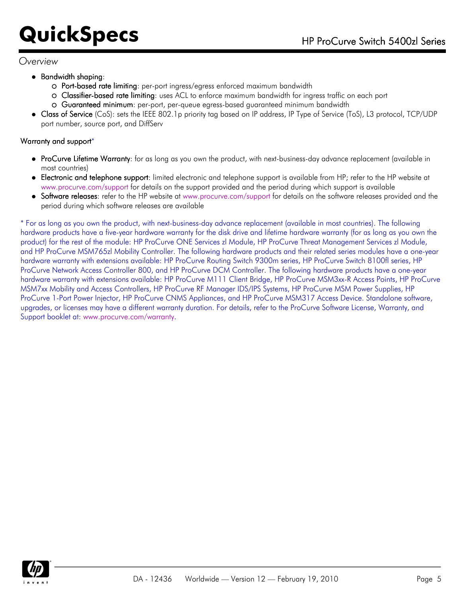### *Overview*

- Bandwidth shaping:
	- Port-based rate limiting: per-port ingress/egress enforced maximum bandwidth
	- Classifier-based rate limiting: uses ACL to enforce maximum bandwidth for ingress traffic on each port
	- Guaranteed minimum: per-port, per-queue egress-based guaranteed minimum bandwidth
- Class of Service (CoS): sets the IEEE 802.1p priority tag based on IP address, IP Type of Service (ToS), L3 protocol, TCP/UDP port number, source port, and DiffServ

### Warranty and support\*

- ProCurve Lifetime Warranty: for as long as you own the product, with next-business-day advance replacement (available in most countries)
- Electronic and telephone support: limited electronic and telephone support is available from HP; refer to the HP website at [www.procurve.com/support](http://www.procurve.com/support) for details on the support provided and the period during which support is available
- Software releases: refer to the HP website at [www.procurve.com/support](http://www.procurve.com/support) for details on the software releases provided and the period during which software releases are available

\* For as long as you own the product, with next-business-day advance replacement (available in most countries). The following hardware products have a five-year hardware warranty for the disk drive and lifetime hardware warranty (for as long as you own the product) for the rest of the module: HP ProCurve ONE Services zl Module, HP ProCurve Threat Management Services zl Module, and HP ProCurve MSM765zl Mobility Controller. The following hardware products and their related series modules have a one-year hardware warranty with extensions available: HP ProCurve Routing Switch 9300m series, HP ProCurve Switch 8100fl series, HP ProCurve Network Access Controller 800, and HP ProCurve DCM Controller. The following hardware products have a one-year hardware warranty with extensions available: HP ProCurve M111 Client Bridge, HP ProCurve MSM3xx-R Access Points, HP ProCurve MSM7xx Mobility and Access Controllers, HP ProCurve RF Manager IDS/IPS Systems, HP ProCurve MSM Power Supplies, HP ProCurve 1-Port Power Injector, HP ProCurve CNMS Appliances, and HP ProCurve MSM317 Access Device. Standalone software, upgrades, or licenses may have a different warranty duration. For details, refer to the ProCurve Software License, Warranty, and Support booklet at: [www.procurve.com/warranty.](http://www.procurve.com/warranty)

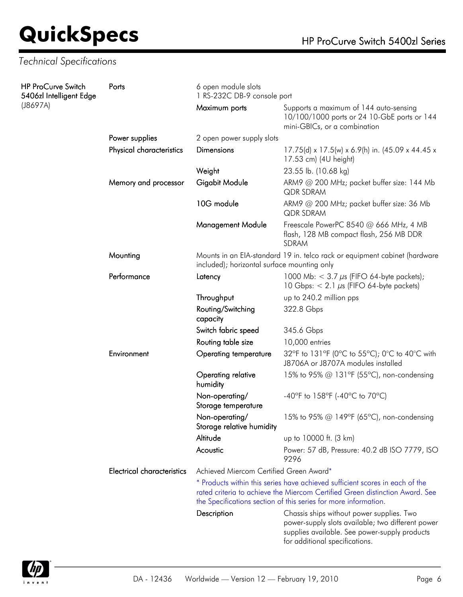### *Technical Specifications*

| <b>HP ProCurve Switch</b><br>5406zl Intelligent Edge | Ports                             | 6 open module slots<br>1 RS-232C DB-9 console port                                                                        |                                                                                                                                                                                                                                 |  |
|------------------------------------------------------|-----------------------------------|---------------------------------------------------------------------------------------------------------------------------|---------------------------------------------------------------------------------------------------------------------------------------------------------------------------------------------------------------------------------|--|
| (J8697A)                                             |                                   | Maximum ports                                                                                                             | Supports a maximum of 144 auto-sensing<br>10/100/1000 ports or 24 10-GbE ports or 144<br>mini-GBICs, or a combination                                                                                                           |  |
|                                                      | Power supplies                    | 2 open power supply slots                                                                                                 |                                                                                                                                                                                                                                 |  |
|                                                      | Physical characteristics          | <b>Dimensions</b>                                                                                                         | 17.75(d) x 17.5(w) x 6.9(h) in. (45.09 x 44.45 x<br>17.53 cm) (4U height)                                                                                                                                                       |  |
|                                                      |                                   | Weight                                                                                                                    | 23.55 lb. (10.68 kg)                                                                                                                                                                                                            |  |
|                                                      | Memory and processor              | Gigabit Module                                                                                                            | ARM9 @ 200 MHz; packet buffer size: 144 Mb<br><b>QDR SDRAM</b>                                                                                                                                                                  |  |
|                                                      |                                   | 10G module                                                                                                                | ARM9 $@$ 200 MHz; packet buffer size: 36 Mb<br>QDR SDRAM                                                                                                                                                                        |  |
|                                                      |                                   | <b>Management Module</b>                                                                                                  | Freescale PowerPC 8540 @ 666 MHz, 4 MB<br>flash, 128 MB compact flash, 256 MB DDR<br>SDRAM                                                                                                                                      |  |
|                                                      | Mounting                          | Mounts in an EIA-standard 19 in. telco rack or equipment cabinet (hardware<br>included); horizontal surface mounting only |                                                                                                                                                                                                                                 |  |
|                                                      | Performance                       | Latency                                                                                                                   | 1000 Mb: $<$ 3.7 $\mu$ s (FIFO 64-byte packets);<br>10 Gbps: $< 2.1 \mu s$ (FIFO 64-byte packets)                                                                                                                               |  |
|                                                      |                                   | Throughput                                                                                                                | up to 240.2 million pps                                                                                                                                                                                                         |  |
|                                                      |                                   | Routing/Switching<br>capacity                                                                                             | 322.8 Gbps                                                                                                                                                                                                                      |  |
|                                                      |                                   | Switch fabric speed                                                                                                       | 345.6 Gbps                                                                                                                                                                                                                      |  |
|                                                      |                                   | Routing table size                                                                                                        | 10,000 entries                                                                                                                                                                                                                  |  |
|                                                      | Environment                       | <b>Operating temperature</b>                                                                                              | 32°F to 131°F (0°C to 55°C); 0°C to 40°C with<br>J8706A or J8707A modules installed                                                                                                                                             |  |
|                                                      |                                   | Operating relative<br>humidity                                                                                            | 15% to 95% @ 131°F (55°C), non-condensing                                                                                                                                                                                       |  |
|                                                      |                                   | Non-operating/<br>Storage temperature                                                                                     | -40°F to 158°F (-40°C to 70°C)                                                                                                                                                                                                  |  |
|                                                      |                                   | Non-operating/<br>Storage relative humidity                                                                               | 15% to 95% @ 149°F (65°C), non-condensing                                                                                                                                                                                       |  |
|                                                      |                                   | Altitude                                                                                                                  | up to 10000 ft. (3 km)                                                                                                                                                                                                          |  |
|                                                      |                                   | Acoustic                                                                                                                  | Power: 57 dB, Pressure: 40.2 dB ISO 7779, ISO<br>9296                                                                                                                                                                           |  |
|                                                      | <b>Electrical characteristics</b> | Achieved Miercom Certified Green Award*                                                                                   |                                                                                                                                                                                                                                 |  |
|                                                      |                                   |                                                                                                                           | * Products within this series have achieved sufficient scores in each of the<br>rated criteria to achieve the Miercom Certified Green distinction Award. See<br>the Specifications section of this series for more information. |  |
|                                                      |                                   | Description                                                                                                               | Chassis ships without power supplies. Two<br>power-supply slots available; two different power<br>supplies available. See power-supply products<br>for additional specifications.                                               |  |

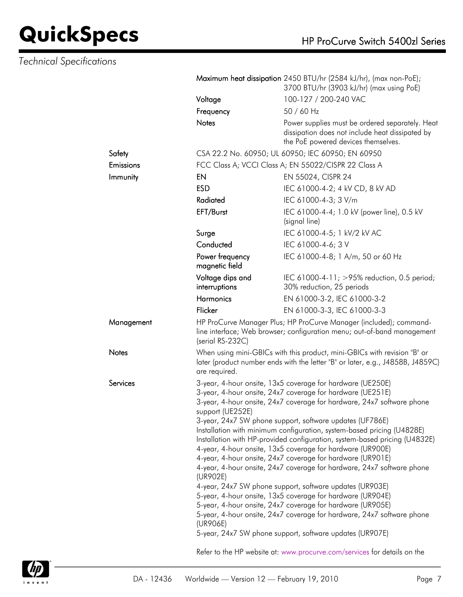|              |                                                                                                                                                                                                                                                                                                                                                                                                                                                                                                                                                                                                                                                                                                                          | Maximum heat dissipation 2450 BTU/hr (2584 kJ/hr), (max non-PoE);<br>3700 BTU/hr (3903 kJ/hr) (max using PoE)                                 |  |  |
|--------------|--------------------------------------------------------------------------------------------------------------------------------------------------------------------------------------------------------------------------------------------------------------------------------------------------------------------------------------------------------------------------------------------------------------------------------------------------------------------------------------------------------------------------------------------------------------------------------------------------------------------------------------------------------------------------------------------------------------------------|-----------------------------------------------------------------------------------------------------------------------------------------------|--|--|
|              | Voltage                                                                                                                                                                                                                                                                                                                                                                                                                                                                                                                                                                                                                                                                                                                  | 100-127 / 200-240 VAC                                                                                                                         |  |  |
| Frequency    |                                                                                                                                                                                                                                                                                                                                                                                                                                                                                                                                                                                                                                                                                                                          | 50 / 60 Hz                                                                                                                                    |  |  |
|              | <b>Notes</b>                                                                                                                                                                                                                                                                                                                                                                                                                                                                                                                                                                                                                                                                                                             | Power supplies must be ordered separately. Heat<br>dissipation does not include heat dissipated by<br>the PoE powered devices themselves.     |  |  |
| Safety       |                                                                                                                                                                                                                                                                                                                                                                                                                                                                                                                                                                                                                                                                                                                          | CSA 22.2 No. 60950; UL 60950; IEC 60950; EN 60950                                                                                             |  |  |
| Emissions    |                                                                                                                                                                                                                                                                                                                                                                                                                                                                                                                                                                                                                                                                                                                          | FCC Class A; VCCI Class A; EN 55022/CISPR 22 Class A                                                                                          |  |  |
| Immunity     | EN                                                                                                                                                                                                                                                                                                                                                                                                                                                                                                                                                                                                                                                                                                                       | EN 55024, CISPR 24                                                                                                                            |  |  |
|              | <b>ESD</b>                                                                                                                                                                                                                                                                                                                                                                                                                                                                                                                                                                                                                                                                                                               | IEC 61000-4-2; 4 kV CD, 8 kV AD                                                                                                               |  |  |
|              | Radiated                                                                                                                                                                                                                                                                                                                                                                                                                                                                                                                                                                                                                                                                                                                 | IEC 61000-4-3; 3 V/m                                                                                                                          |  |  |
|              | EFT/Burst                                                                                                                                                                                                                                                                                                                                                                                                                                                                                                                                                                                                                                                                                                                | IEC 61000-4-4; 1.0 kV (power line), 0.5 kV<br>(signal line)                                                                                   |  |  |
|              | Surge                                                                                                                                                                                                                                                                                                                                                                                                                                                                                                                                                                                                                                                                                                                    | IEC 61000-4-5; 1 kV/2 kV AC                                                                                                                   |  |  |
|              | Conducted                                                                                                                                                                                                                                                                                                                                                                                                                                                                                                                                                                                                                                                                                                                | IEC 61000-4-6; 3 V                                                                                                                            |  |  |
|              | Power frequency<br>magnetic field                                                                                                                                                                                                                                                                                                                                                                                                                                                                                                                                                                                                                                                                                        | IEC 61000-4-8; 1 A/m, 50 or 60 Hz                                                                                                             |  |  |
|              | Voltage dips and<br>interruptions                                                                                                                                                                                                                                                                                                                                                                                                                                                                                                                                                                                                                                                                                        | IEC 61000-4-11; >95% reduction, 0.5 period;<br>30% reduction, 25 periods                                                                      |  |  |
|              | <b>Harmonics</b>                                                                                                                                                                                                                                                                                                                                                                                                                                                                                                                                                                                                                                                                                                         | EN 61000-3-2, IEC 61000-3-2                                                                                                                   |  |  |
|              | Flicker                                                                                                                                                                                                                                                                                                                                                                                                                                                                                                                                                                                                                                                                                                                  | EN 61000-3-3, IEC 61000-3-3                                                                                                                   |  |  |
| Management   | (serial RS-232C)                                                                                                                                                                                                                                                                                                                                                                                                                                                                                                                                                                                                                                                                                                         | HP ProCurve Manager Plus; HP ProCurve Manager (included); command-<br>line interface; Web browser; configuration menu; out-of-band management |  |  |
| <b>Notes</b> | When using mini-GBICs with this product, mini-GBICs with revision "B" or<br>later (product number ends with the letter "B" or later, e.g., J4858B, J4859C)<br>are required.                                                                                                                                                                                                                                                                                                                                                                                                                                                                                                                                              |                                                                                                                                               |  |  |
| Services     |                                                                                                                                                                                                                                                                                                                                                                                                                                                                                                                                                                                                                                                                                                                          | 3-year, 4-hour onsite, 13x5 coverage for hardware (UE250E)                                                                                    |  |  |
|              |                                                                                                                                                                                                                                                                                                                                                                                                                                                                                                                                                                                                                                                                                                                          | 3-year, 4-hour onsite, 24x7 coverage for hardware (UE251E)                                                                                    |  |  |
|              | 3-year, 4-hour onsite, 24x7 coverage for hardware, 24x7 software phone<br>support (UE252E)<br>3-year, 24x7 SW phone support, software updates (UF786E)<br>Installation with minimum configuration, system-based pricing (U4828E)<br>Installation with HP-provided configuration, system-based pricing (U4832E)<br>4-year, 4-hour onsite, 13x5 coverage for hardware (UR900E)<br>4-year, 4-hour onsite, 24x7 coverage for hardware (UR901E)<br>4-year, 4-hour onsite, 24x7 coverage for hardware, 24x7 software phone<br>(UR902E)<br>4-year, 24x7 SW phone support, software updates (UR903E)<br>5-year, 4-hour onsite, 13x5 coverage for hardware (UR904E)<br>5-year, 4-hour onsite, 24x7 coverage for hardware (UR905E) |                                                                                                                                               |  |  |
|              |                                                                                                                                                                                                                                                                                                                                                                                                                                                                                                                                                                                                                                                                                                                          |                                                                                                                                               |  |  |
|              |                                                                                                                                                                                                                                                                                                                                                                                                                                                                                                                                                                                                                                                                                                                          |                                                                                                                                               |  |  |
|              |                                                                                                                                                                                                                                                                                                                                                                                                                                                                                                                                                                                                                                                                                                                          |                                                                                                                                               |  |  |
|              |                                                                                                                                                                                                                                                                                                                                                                                                                                                                                                                                                                                                                                                                                                                          |                                                                                                                                               |  |  |
|              |                                                                                                                                                                                                                                                                                                                                                                                                                                                                                                                                                                                                                                                                                                                          |                                                                                                                                               |  |  |
|              |                                                                                                                                                                                                                                                                                                                                                                                                                                                                                                                                                                                                                                                                                                                          |                                                                                                                                               |  |  |
|              |                                                                                                                                                                                                                                                                                                                                                                                                                                                                                                                                                                                                                                                                                                                          |                                                                                                                                               |  |  |
|              | 5-year, 4-hour onsite, 24x7 coverage for hardware, 24x7 software phone                                                                                                                                                                                                                                                                                                                                                                                                                                                                                                                                                                                                                                                   |                                                                                                                                               |  |  |
|              | (UR906E)                                                                                                                                                                                                                                                                                                                                                                                                                                                                                                                                                                                                                                                                                                                 | 5-year, 24x7 SW phone support, software updates (UR907E)                                                                                      |  |  |
|              | Refer to the HP website at: www.procurve.com/services for details on the                                                                                                                                                                                                                                                                                                                                                                                                                                                                                                                                                                                                                                                 |                                                                                                                                               |  |  |

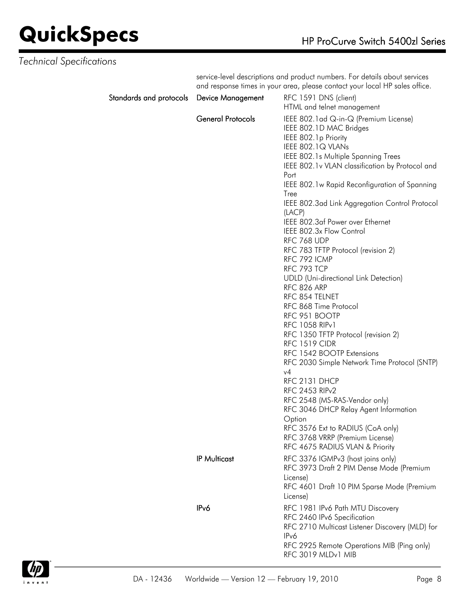### *Technical Specifications*

service-level descriptions and product numbers. For details about services and response times in your area, please contact your local HP sales office.

| Standards and protocols Device Management |                          | RFC 1591 DNS (client)<br>HTML and telnet management                                                                                                                                                                                                                                                                                                                                                                                                                                                                                                                                                                                                                                                                                                                                                                                                                                                                                                                                                                                                  |
|-------------------------------------------|--------------------------|------------------------------------------------------------------------------------------------------------------------------------------------------------------------------------------------------------------------------------------------------------------------------------------------------------------------------------------------------------------------------------------------------------------------------------------------------------------------------------------------------------------------------------------------------------------------------------------------------------------------------------------------------------------------------------------------------------------------------------------------------------------------------------------------------------------------------------------------------------------------------------------------------------------------------------------------------------------------------------------------------------------------------------------------------|
|                                           | <b>General Protocols</b> | IEEE 802.1 ad Q-in-Q (Premium License)<br>IEEE 802.1D MAC Bridges<br>IEEE 802.1p Priority<br>IEEE 802.1Q VLANs<br><b>IEEE 802.1s Multiple Spanning Trees</b><br>IEEE 802.1v VLAN classification by Protocol and<br>Port<br>IEEE 802.1w Rapid Reconfiguration of Spanning<br>Tree<br>IEEE 802.3ad Link Aggregation Control Protocol<br>(LACP)<br>IEEE 802.3af Power over Ethernet<br>IEEE 802.3x Flow Control<br>RFC 768 UDP<br>RFC 783 TFTP Protocol (revision 2)<br>RFC 792 ICMP<br>RFC 793 TCP<br><b>UDLD</b> (Uni-directional Link Detection)<br>RFC 826 ARP<br>RFC 854 TELNET<br>RFC 868 Time Protocol<br>RFC 951 BOOTP<br><b>RFC 1058 RIPv1</b><br>RFC 1350 TFTP Protocol (revision 2)<br><b>RFC 1519 CIDR</b><br>RFC 1542 BOOTP Extensions<br>RFC 2030 Simple Network Time Protocol (SNTP)<br>v4<br>RFC 2131 DHCP<br>RFC 2453 RIP <sub>v2</sub><br>RFC 2548 (MS-RAS-Vendor only)<br>RFC 3046 DHCP Relay Agent Information<br>Option<br>RFC 3576 Ext to RADIUS (CoA only)<br>RFC 3768 VRRP (Premium License)<br>RFC 4675 RADIUS VLAN & Priority |
|                                           | <b>IP Multicast</b>      | RFC 3376 IGMPv3 (host joins only)<br>RFC 3973 Draft 2 PIM Dense Mode (Premium<br>License)<br>RFC 4601 Draft 10 PIM Sparse Mode (Premium<br>License)                                                                                                                                                                                                                                                                                                                                                                                                                                                                                                                                                                                                                                                                                                                                                                                                                                                                                                  |
|                                           | IP <sub>v</sub> 6        | RFC 1981 IPv6 Path MTU Discovery<br>RFC 2460 IPv6 Specification<br>RFC 2710 Multicast Listener Discovery (MLD) for<br>IP <sub>v</sub> 6<br>RFC 2925 Remote Operations MIB (Ping only)<br>RFC 3019 MLDv1 MIB                                                                                                                                                                                                                                                                                                                                                                                                                                                                                                                                                                                                                                                                                                                                                                                                                                          |

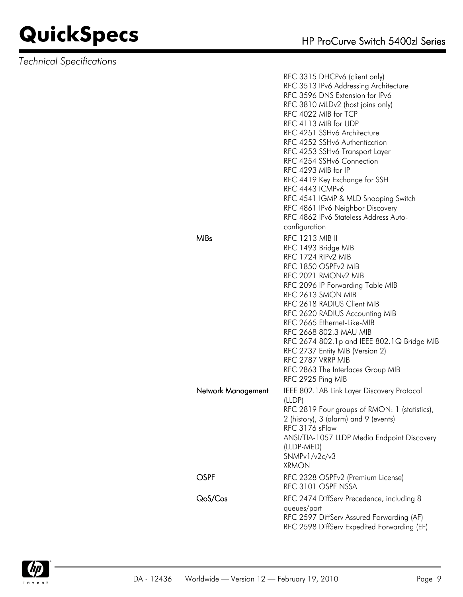|                    | RFC 3315 DHCPv6 (client only)<br>RFC 3513 IPv6 Addressing Architecture<br>RFC 3596 DNS Extension for IPv6<br>RFC 3810 MLDv2 (host joins only)<br>RFC 4022 MIB for TCP<br>RFC 4113 MIB for UDP<br>RFC 4251 SSHv6 Architecture<br>RFC 4252 SSHv6 Authentication<br>RFC 4253 SSHv6 Transport Layer<br>RFC 4254 SSHv6 Connection<br>RFC 4293 MIB for IP<br>RFC 4419 Key Exchange for SSH<br>RFC 4443 ICMPv6<br>RFC 4541 IGMP & MLD Snooping Switch<br>RFC 4861 IPv6 Neighbor Discovery<br>RFC 4862 IPv6 Stateless Address Auto-<br>configuration |
|--------------------|----------------------------------------------------------------------------------------------------------------------------------------------------------------------------------------------------------------------------------------------------------------------------------------------------------------------------------------------------------------------------------------------------------------------------------------------------------------------------------------------------------------------------------------------|
| <b>MIBs</b>        | <b>RFC 1213 MIB II</b><br>RFC 1493 Bridge MIB<br>RFC 1724 RIP <sub>v2</sub> MIB<br>RFC 1850 OSPFv2 MIB<br>RFC 2021 RMON <sub>v2</sub> MIB<br>RFC 2096 IP Forwarding Table MIB<br>RFC 2613 SMON MIB<br>RFC 2618 RADIUS Client MIB<br>RFC 2620 RADIUS Accounting MIB<br>RFC 2665 Ethernet-Like-MIB<br>RFC 2668 802.3 MAU MIB<br>RFC 2674 802.1p and IEEE 802.1Q Bridge MIB<br>RFC 2737 Entity MIB (Version 2)<br>RFC 2787 VRRP MIB<br>RFC 2863 The Interfaces Group MIB<br>RFC 2925 Ping MIB                                                   |
| Network Management | IEEE 802.1AB Link Layer Discovery Protocol<br>(LLDP)<br>RFC 2819 Four groups of RMON: 1 (statistics),<br>2 (history), 3 (alarm) and 9 (events)<br>RFC 3176 sFlow<br>ANSI/TIA-1057 LLDP Media Endpoint Discovery<br>(LLDP-MED)<br>SNMPv1/v2c/v3<br><b>XRMON</b>                                                                                                                                                                                                                                                                               |
| OSPF               | RFC 2328 OSPFv2 (Premium License)<br>RFC 3101 OSPF NSSA                                                                                                                                                                                                                                                                                                                                                                                                                                                                                      |
| QoS/Cos            | RFC 2474 DiffServ Precedence, including 8<br>queues/port<br>RFC 2597 DiffServ Assured Forwarding (AF)<br>RFC 2598 DiffServ Expedited Forwarding (EF)                                                                                                                                                                                                                                                                                                                                                                                         |

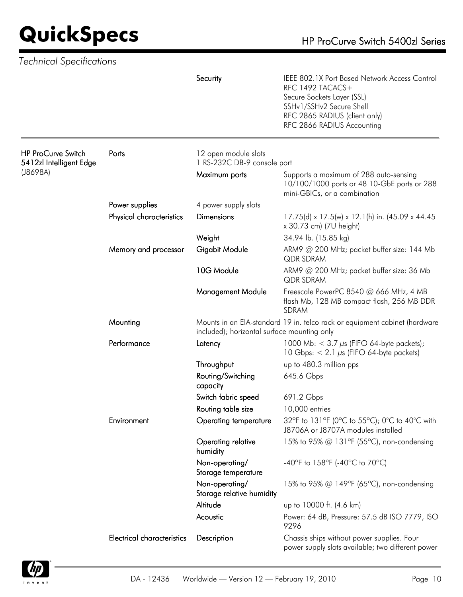|                                                      |                                   | Security                                            | IEEE 802.1X Port Based Network Access Control<br>RFC 1492 TACACS+<br>Secure Sockets Layer (SSL)<br>SSHv1/SSHv2 Secure Shell<br>RFC 2865 RADIUS (client only)<br>RFC 2866 RADIUS Accounting |
|------------------------------------------------------|-----------------------------------|-----------------------------------------------------|--------------------------------------------------------------------------------------------------------------------------------------------------------------------------------------------|
| <b>HP ProCurve Switch</b><br>5412zl Intelligent Edge | Ports                             | 12 open module slots<br>1 RS-232C DB-9 console port |                                                                                                                                                                                            |
| (J8698A)                                             |                                   | Maximum ports                                       | Supports a maximum of 288 auto-sensing<br>10/100/1000 ports or 48 10-GbE ports or 288<br>mini-GBICs, or a combination                                                                      |
|                                                      | Power supplies                    | 4 power supply slots                                |                                                                                                                                                                                            |
|                                                      | Physical characteristics          | <b>Dimensions</b>                                   | 17.75(d) x 17.5(w) x 12.1(h) in. (45.09 x 44.45<br>x 30.73 cm) (7U height)                                                                                                                 |
|                                                      |                                   | Weight                                              | 34.94 lb. (15.85 kg)                                                                                                                                                                       |
|                                                      | Memory and processor              | Gigabit Module                                      | ARM9 @ 200 MHz; packet buffer size: 144 Mb<br><b>QDR SDRAM</b>                                                                                                                             |
|                                                      |                                   | 10G Module                                          | ARM9 @ 200 MHz; packet buffer size: 36 Mb<br>QDR SDRAM                                                                                                                                     |
|                                                      |                                   | <b>Management Module</b>                            | Freescale PowerPC 8540 @ 666 MHz, 4 MB<br>flash Mb, 128 MB compact flash, 256 MB DDR<br><b>SDRAM</b>                                                                                       |
|                                                      | Mounting                          | included); horizontal surface mounting only         | Mounts in an EIA-standard 19 in. telco rack or equipment cabinet (hardware                                                                                                                 |
|                                                      | Performance                       | Latency                                             | 1000 Mb: $<$ 3.7 $\mu$ s (FIFO 64-byte packets);<br>10 Gbps: $< 2.1 \mu s$ (FIFO 64-byte packets)                                                                                          |
|                                                      |                                   | Throughput                                          | up to 480.3 million pps                                                                                                                                                                    |
|                                                      |                                   | Routing/Switching<br>capacity                       | 645.6 Gbps                                                                                                                                                                                 |
|                                                      |                                   | Switch fabric speed                                 | 691.2 Gbps                                                                                                                                                                                 |
|                                                      |                                   | Routing table size                                  | 10,000 entries                                                                                                                                                                             |
|                                                      | Environment                       | <b>Operating temperature</b>                        | 32°F to 131°F (0°C to 55°C); 0°C to 40°C with<br>J8706A or J8707A modules installed                                                                                                        |
|                                                      |                                   | Operating relative<br>humidity                      | 15% to 95% @ 131°F (55°C), non-condensing                                                                                                                                                  |
|                                                      |                                   | Non-operating/<br>Storage temperature               | -40°F to 158°F (-40°C to 70°C)                                                                                                                                                             |
|                                                      |                                   | Non-operating/<br>Storage relative humidity         | 15% to 95% @ 149°F (65°C), non-condensing                                                                                                                                                  |
|                                                      |                                   | Altitude                                            | up to 10000 ft. (4.6 km)                                                                                                                                                                   |
|                                                      |                                   | Acoustic                                            | Power: 64 dB, Pressure: 57.5 dB ISO 7779, ISO<br>9296                                                                                                                                      |
|                                                      | <b>Electrical characteristics</b> | Description                                         | Chassis ships without power supplies. Four<br>power supply slots available; two different power                                                                                            |

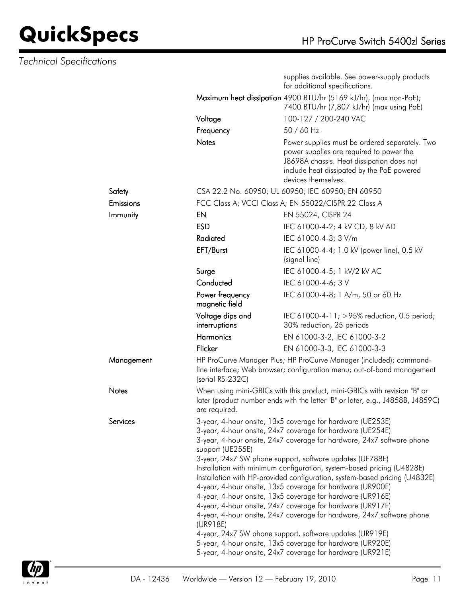|                 |                                                                                                                                                                                                                                                                                                                                                                                                                                                                                                                                                                                                                                                                                                                                                                                                                                                                                                                    | supplies available. See power-supply products<br>for additional specifications.                                                                                                                              |  |
|-----------------|--------------------------------------------------------------------------------------------------------------------------------------------------------------------------------------------------------------------------------------------------------------------------------------------------------------------------------------------------------------------------------------------------------------------------------------------------------------------------------------------------------------------------------------------------------------------------------------------------------------------------------------------------------------------------------------------------------------------------------------------------------------------------------------------------------------------------------------------------------------------------------------------------------------------|--------------------------------------------------------------------------------------------------------------------------------------------------------------------------------------------------------------|--|
|                 |                                                                                                                                                                                                                                                                                                                                                                                                                                                                                                                                                                                                                                                                                                                                                                                                                                                                                                                    | Maximum heat dissipation 4900 BTU/hr (5169 kJ/hr), (max non-PoE);<br>7400 BTU/hr (7,807 kJ/hr) (max using PoE)                                                                                               |  |
|                 | Voltage                                                                                                                                                                                                                                                                                                                                                                                                                                                                                                                                                                                                                                                                                                                                                                                                                                                                                                            | 100-127 / 200-240 VAC                                                                                                                                                                                        |  |
|                 | Frequency                                                                                                                                                                                                                                                                                                                                                                                                                                                                                                                                                                                                                                                                                                                                                                                                                                                                                                          | 50 / 60 Hz                                                                                                                                                                                                   |  |
|                 | <b>Notes</b>                                                                                                                                                                                                                                                                                                                                                                                                                                                                                                                                                                                                                                                                                                                                                                                                                                                                                                       | Power supplies must be ordered separately. Two<br>power supplies are required to power the<br>J8698A chassis. Heat dissipation does not<br>include heat dissipated by the PoE powered<br>devices themselves. |  |
| Safety          |                                                                                                                                                                                                                                                                                                                                                                                                                                                                                                                                                                                                                                                                                                                                                                                                                                                                                                                    | CSA 22.2 No. 60950; UL 60950; IEC 60950; EN 60950                                                                                                                                                            |  |
| Emissions       |                                                                                                                                                                                                                                                                                                                                                                                                                                                                                                                                                                                                                                                                                                                                                                                                                                                                                                                    | FCC Class A; VCCI Class A; EN 55022/CISPR 22 Class A                                                                                                                                                         |  |
| Immunity        | EN                                                                                                                                                                                                                                                                                                                                                                                                                                                                                                                                                                                                                                                                                                                                                                                                                                                                                                                 | EN 55024, CISPR 24                                                                                                                                                                                           |  |
|                 | <b>ESD</b>                                                                                                                                                                                                                                                                                                                                                                                                                                                                                                                                                                                                                                                                                                                                                                                                                                                                                                         | IEC 61000-4-2; 4 kV CD, 8 kV AD                                                                                                                                                                              |  |
|                 | Radiated                                                                                                                                                                                                                                                                                                                                                                                                                                                                                                                                                                                                                                                                                                                                                                                                                                                                                                           | IEC 61000-4-3; 3 V/m                                                                                                                                                                                         |  |
|                 | EFT/Burst                                                                                                                                                                                                                                                                                                                                                                                                                                                                                                                                                                                                                                                                                                                                                                                                                                                                                                          | IEC 61000-4-4; 1.0 kV (power line), 0.5 kV<br>(signal line)                                                                                                                                                  |  |
|                 | Surge                                                                                                                                                                                                                                                                                                                                                                                                                                                                                                                                                                                                                                                                                                                                                                                                                                                                                                              | IEC 61000-4-5; 1 kV/2 kV AC                                                                                                                                                                                  |  |
|                 | Conducted                                                                                                                                                                                                                                                                                                                                                                                                                                                                                                                                                                                                                                                                                                                                                                                                                                                                                                          | IEC 61000-4-6; 3 V                                                                                                                                                                                           |  |
|                 | Power frequency<br>magnetic field                                                                                                                                                                                                                                                                                                                                                                                                                                                                                                                                                                                                                                                                                                                                                                                                                                                                                  | IEC 61000-4-8; 1 A/m, 50 or 60 Hz                                                                                                                                                                            |  |
|                 | Voltage dips and<br>interruptions                                                                                                                                                                                                                                                                                                                                                                                                                                                                                                                                                                                                                                                                                                                                                                                                                                                                                  | IEC 61000-4-11; >95% reduction, 0.5 period;<br>30% reduction, 25 periods                                                                                                                                     |  |
|                 | <b>Harmonics</b>                                                                                                                                                                                                                                                                                                                                                                                                                                                                                                                                                                                                                                                                                                                                                                                                                                                                                                   | EN 61000-3-2, IEC 61000-3-2                                                                                                                                                                                  |  |
|                 | Flicker                                                                                                                                                                                                                                                                                                                                                                                                                                                                                                                                                                                                                                                                                                                                                                                                                                                                                                            | EN 61000-3-3, IEC 61000-3-3                                                                                                                                                                                  |  |
| Management      | HP ProCurve Manager Plus; HP ProCurve Manager (included); command-<br>line interface; Web browser; configuration menu; out-of-band management<br>(serial RS-232C)                                                                                                                                                                                                                                                                                                                                                                                                                                                                                                                                                                                                                                                                                                                                                  |                                                                                                                                                                                                              |  |
| Notes           | When using mini-GBICs with this product, mini-GBICs with revision "B" or<br>later (product number ends with the letter "B" or later, e.g., J4858B, J4859C)<br>are required.                                                                                                                                                                                                                                                                                                                                                                                                                                                                                                                                                                                                                                                                                                                                        |                                                                                                                                                                                                              |  |
| <b>Services</b> | 3-year, 4-hour onsite, 13x5 coverage for hardware (UE253E)<br>3-year, 4-hour onsite, 24x7 coverage for hardware (UE254E)<br>3-year, 4-hour onsite, 24x7 coverage for hardware, 24x7 software phone<br>support (UE255E)<br>3-year, 24x7 SW phone support, software updates (UF788E)<br>Installation with minimum configuration, system-based pricing (U4828E)<br>Installation with HP-provided configuration, system-based pricing (U4832E)<br>4-year, 4-hour onsite, 13x5 coverage for hardware (UR900E)<br>4-year, 4-hour onsite, 13x5 coverage for hardware (UR916E)<br>4-year, 4-hour onsite, 24x7 coverage for hardware (UR917E)<br>4-year, 4-hour onsite, 24x7 coverage for hardware, 24x7 software phone<br>(UR918E)<br>4-year, 24x7 SW phone support, software updates (UR919E)<br>5-year, 4-hour onsite, 13x5 coverage for hardware (UR920E)<br>5-year, 4-hour onsite, 24x7 coverage for hardware (UR921E) |                                                                                                                                                                                                              |  |

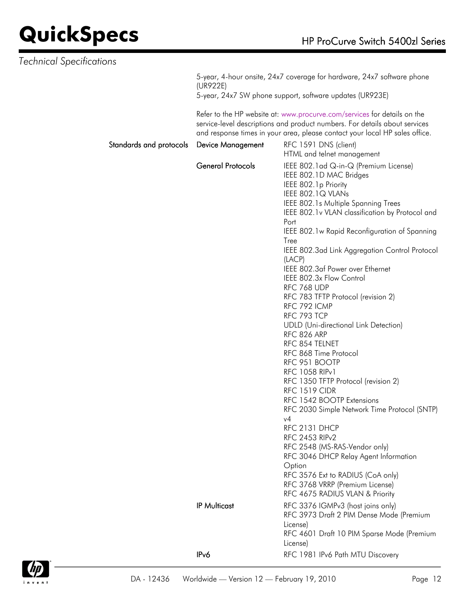| <b>Technical Specifications</b> |                          |                                                                                                                                                                                                                                                                                                                                                                                                                                                                                                                                                                                                                                                                                                                                                                                                                                                                                                                                                                                                            |
|---------------------------------|--------------------------|------------------------------------------------------------------------------------------------------------------------------------------------------------------------------------------------------------------------------------------------------------------------------------------------------------------------------------------------------------------------------------------------------------------------------------------------------------------------------------------------------------------------------------------------------------------------------------------------------------------------------------------------------------------------------------------------------------------------------------------------------------------------------------------------------------------------------------------------------------------------------------------------------------------------------------------------------------------------------------------------------------|
|                                 | (UR922E)                 | 5-year, 4-hour onsite, 24x7 coverage for hardware, 24x7 software phone<br>5-year, 24x7 SW phone support, software updates (UR923E)                                                                                                                                                                                                                                                                                                                                                                                                                                                                                                                                                                                                                                                                                                                                                                                                                                                                         |
|                                 |                          | Refer to the HP website at: www.procurve.com/services for details on the<br>service-level descriptions and product numbers. For details about services<br>and response times in your area, please contact your local HP sales office.                                                                                                                                                                                                                                                                                                                                                                                                                                                                                                                                                                                                                                                                                                                                                                      |
| Standards and protocols         | <b>Device Management</b> | RFC 1591 DNS (client)<br>HTML and telnet management                                                                                                                                                                                                                                                                                                                                                                                                                                                                                                                                                                                                                                                                                                                                                                                                                                                                                                                                                        |
|                                 | General Protocols        | IEEE 802.1 ad Q-in-Q (Premium License)<br>IEEE 802.1D MAC Bridges<br>IEEE 802.1p Priority<br>IEEE 802.1Q VLANs<br>IEEE 802.1s Multiple Spanning Trees<br>IEEE 802.1v VLAN classification by Protocol and<br>Port<br>IEEE 802.1w Rapid Reconfiguration of Spanning<br>Tree<br>IEEE 802.3ad Link Aggregation Control Protocol<br>(LACP)<br>IEEE 802.3af Power over Ethernet<br>IEEE 802.3x Flow Control<br>RFC 768 UDP<br>RFC 783 TFTP Protocol (revision 2)<br>RFC 792 ICMP<br>RFC 793 TCP<br><b>UDLD</b> (Uni-directional Link Detection)<br>RFC 826 ARP<br>RFC 854 TELNET<br>RFC 868 Time Protocol<br>RFC 951 BOOTP<br><b>RFC 1058 RIPv1</b><br>RFC 1350 TFTP Protocol (revision 2)<br><b>RFC 1519 CIDR</b><br>RFC 1542 BOOTP Extensions<br>RFC 2030 Simple Network Time Protocol (SNTP)<br>v4<br>RFC 2131 DHCP<br>RFC 2453 RIP <sub>v2</sub><br>RFC 2548 (MS-RAS-Vendor only)<br>RFC 3046 DHCP Relay Agent Information<br>Option<br>RFC 3576 Ext to RADIUS (CoA only)<br>RFC 3768 VRRP (Premium License) |
|                                 | <b>IP Multicast</b>      | RFC 4675 RADIUS VLAN & Priority<br>RFC 3376 IGMPv3 (host joins only)<br>RFC 3973 Draft 2 PIM Dense Mode (Premium<br>License)<br>RFC 4601 Draft 10 PIM Sparse Mode (Premium<br>License)                                                                                                                                                                                                                                                                                                                                                                                                                                                                                                                                                                                                                                                                                                                                                                                                                     |
|                                 | IP <sub>v</sub> 6        | RFC 1981 IPv6 Path MTU Discovery                                                                                                                                                                                                                                                                                                                                                                                                                                                                                                                                                                                                                                                                                                                                                                                                                                                                                                                                                                           |

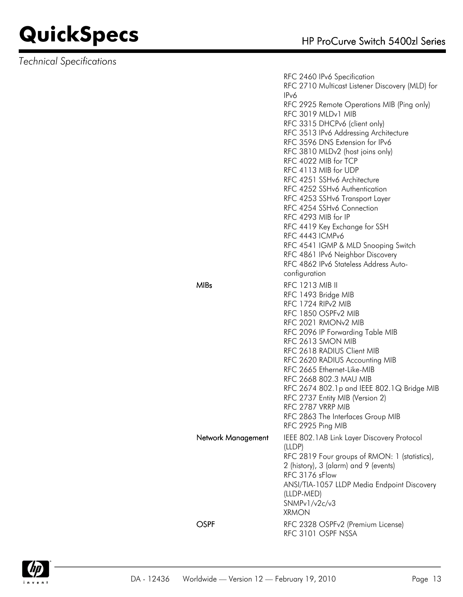*Technical Specifications*

RFC 2460 IPv6 Specification RFC 2710 Multicast Listener Discovery (MLD) for IPv6 RFC 2925 Remote Operations MIB (Ping only) RFC 3019 MLDv1 MIB RFC 3315 DHCPv6 (client only) RFC 3513 IPv6 Addressing Architecture RFC 3596 DNS Extension for IPv6 RFC 3810 MLDv2 (host joins only) RFC 4022 MIB for TCP RFC 4113 MIB for UDP RFC 4251 SSHv6 Architecture RFC 4252 SSHv6 Authentication RFC 4253 SSHv6 Transport Layer RFC 4254 SSHv6 Connection RFC 4293 MIB for IP RFC 4419 Key Exchange for SSH RFC 4443 ICMPv6 RFC 4541 IGMP & MLD Snooping Switch RFC 4861 IPv6 Neighbor Discovery RFC 4862 IPv6 Stateless Address Autoconfiguration MIBs RFC 1213 MIB II RFC 1493 Bridge MIB RFC 1724 RIPv2 MIB RFC 1850 OSPFv2 MIB RFC 2021 RMONv2 MIB RFC 2096 IP Forwarding Table MIB RFC 2613 SMON MIB RFC 2618 RADIUS Client MIB RFC 2620 RADIUS Accounting MIB RFC 2665 Ethernet-Like-MIB RFC 2668 802.3 MAU MIB RFC 2674 802.1p and IEEE 802.1Q Bridge MIB RFC 2737 Entity MIB (Version 2) RFC 2787 VRRP MIB RFC 2863 The Interfaces Group MIB RFC 2925 Ping MIB Network Management IEEE 802.1AB Link Layer Discovery Protocol (LLDP) RFC 2819 Four groups of RMON: 1 (statistics), 2 (history), 3 (alarm) and 9 (events) RFC 3176 sFlow ANSI/TIA-1057 LLDP Media Endpoint Discovery (LLDP-MED) SNMPv1/v2c/v3 XRMON OSPF RFC 2328 OSPFv2 (Premium License) RFC 3101 OSPF NSSA

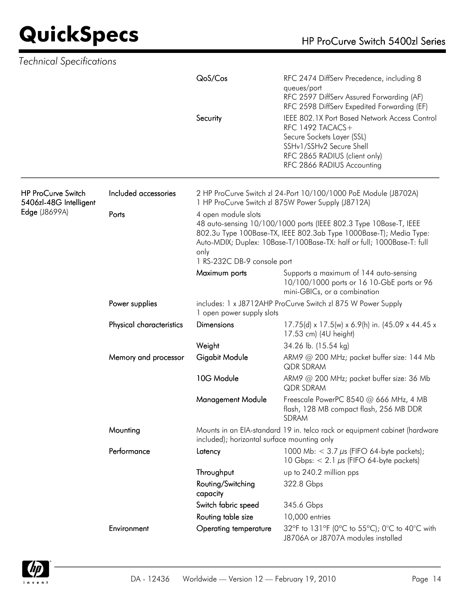# **QuickSpecs**

| HP ProCurve Switch 5400zl Series |
|----------------------------------|
|----------------------------------|

| Technical Specifications                            |                          |                                                                                                                                                                                                                                                                                 |                                                                                                                                                                                            |  |
|-----------------------------------------------------|--------------------------|---------------------------------------------------------------------------------------------------------------------------------------------------------------------------------------------------------------------------------------------------------------------------------|--------------------------------------------------------------------------------------------------------------------------------------------------------------------------------------------|--|
|                                                     |                          | QoS/Cos                                                                                                                                                                                                                                                                         | RFC 2474 DiffServ Precedence, including 8<br>queues/port<br>RFC 2597 DiffServ Assured Forwarding (AF)<br>RFC 2598 DiffServ Expedited Forwarding (EF)                                       |  |
|                                                     |                          | Security                                                                                                                                                                                                                                                                        | IEEE 802.1X Port Based Network Access Control<br>RFC 1492 TACACS+<br>Secure Sockets Layer (SSL)<br>SSHv1/SSHv2 Secure Shell<br>RFC 2865 RADIUS (client only)<br>RFC 2866 RADIUS Accounting |  |
| <b>HP ProCurve Switch</b><br>5406zl-48G Intelligent | Included accessories     |                                                                                                                                                                                                                                                                                 | 2 HP ProCurve Switch zl 24-Port 10/100/1000 PoE Module (J8702A)<br>1 HP ProCurve Switch zl 875W Power Supply (J8712A)                                                                      |  |
| Edge (J8699A)                                       | Ports                    | 4 open module slots<br>48 auto-sensing 10/100/1000 ports (IEEE 802.3 Type 10Base-T, IEEE<br>802.3u Type 100Base-TX, IEEE 802.3ab Type 1000Base-T); Media Type:<br>Auto-MDIX; Duplex: 10Base-T/100Base-TX: half or full; 1000Base-T: full<br>only<br>1 RS-232C DB-9 console port |                                                                                                                                                                                            |  |
|                                                     |                          | Maximum ports                                                                                                                                                                                                                                                                   | Supports a maximum of 144 auto-sensing<br>10/100/1000 ports or 16 10-GbE ports or 96<br>mini-GBICs, or a combination                                                                       |  |
|                                                     | Power supplies           | includes: 1 x J8712AHP ProCurve Switch zl 875 W Power Supply<br>1 open power supply slots                                                                                                                                                                                       |                                                                                                                                                                                            |  |
|                                                     | Physical characteristics | <b>Dimensions</b>                                                                                                                                                                                                                                                               | 17.75(d) x 17.5(w) x 6.9(h) in. (45.09 x 44.45 x<br>17.53 cm) (4U height)                                                                                                                  |  |
|                                                     |                          | Weight                                                                                                                                                                                                                                                                          | 34.26 lb. (15.54 kg)                                                                                                                                                                       |  |
|                                                     | Memory and processor     | Gigabit Module                                                                                                                                                                                                                                                                  | ARM9 @ 200 MHz; packet buffer size: 144 Mb<br>QDR SDRAM                                                                                                                                    |  |
|                                                     |                          | 10G Module                                                                                                                                                                                                                                                                      | ARM9 @ 200 MHz; packet buffer size: 36 Mb<br><b>QDR SDRAM</b>                                                                                                                              |  |
|                                                     |                          | <b>Management Module</b>                                                                                                                                                                                                                                                        | Freescale PowerPC 8540 @ 666 MHz, 4 MB<br>flash, 128 MB compact flash, 256 MB DDR<br><b>SDRAM</b>                                                                                          |  |
|                                                     | Mounting                 | included); horizontal surface mounting only                                                                                                                                                                                                                                     | Mounts in an EIA-standard 19 in. telco rack or equipment cabinet (hardware                                                                                                                 |  |
|                                                     | Performance              | Latency                                                                                                                                                                                                                                                                         | 1000 Mb: $<$ 3.7 $\mu$ s (FIFO 64-byte packets);<br>10 Gbps: $< 2.1 \mu s$ (FIFO 64-byte packets)                                                                                          |  |
|                                                     |                          | Throughput                                                                                                                                                                                                                                                                      | up to 240.2 million pps                                                                                                                                                                    |  |
|                                                     |                          | Routing/Switching<br>capacity                                                                                                                                                                                                                                                   | 322.8 Gbps                                                                                                                                                                                 |  |
|                                                     |                          | Switch fabric speed                                                                                                                                                                                                                                                             | 345.6 Gbps                                                                                                                                                                                 |  |
|                                                     |                          | Routing table size                                                                                                                                                                                                                                                              | 10,000 entries                                                                                                                                                                             |  |
|                                                     | Environment              | Operating temperature                                                                                                                                                                                                                                                           | 32°F to 131°F (0°C to 55°C); 0°C to 40°C with<br>J8706A or J8707A modules installed                                                                                                        |  |

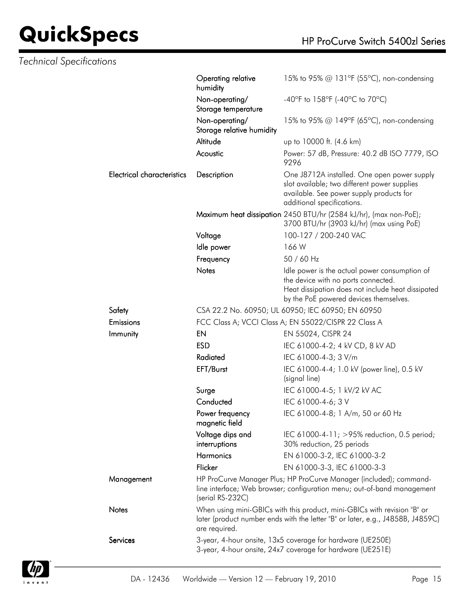| <b>Technical Specifications</b>   |                                             |                                                                                                                                                                                     |
|-----------------------------------|---------------------------------------------|-------------------------------------------------------------------------------------------------------------------------------------------------------------------------------------|
|                                   | Operating relative<br>humidity              | 15% to 95% @ 131°F (55°C), non-condensing                                                                                                                                           |
|                                   | Non-operating/<br>Storage temperature       | -40°F to 158°F (-40°C to 70°C)                                                                                                                                                      |
|                                   | Non-operating/<br>Storage relative humidity | 15% to 95% @ 149°F (65°C), non-condensing                                                                                                                                           |
|                                   | Altitude                                    | up to 10000 ft. (4.6 km)                                                                                                                                                            |
|                                   | Acoustic                                    | Power: 57 dB, Pressure: 40.2 dB ISO 7779, ISO<br>9296                                                                                                                               |
| <b>Electrical characteristics</b> | Description                                 | One J8712A installed. One open power supply<br>slot available; two different power supplies<br>available. See power supply products for<br>additional specifications.               |
|                                   |                                             | Maximum heat dissipation 2450 BTU/hr (2584 kJ/hr), (max non-PoE);<br>3700 BTU/hr (3903 kJ/hr) (max using PoE)                                                                       |
|                                   | Voltage                                     | 100-127 / 200-240 VAC                                                                                                                                                               |
|                                   | Idle power                                  | 166 W                                                                                                                                                                               |
|                                   | Frequency                                   | 50 / 60 Hz                                                                                                                                                                          |
|                                   | Notes                                       | Idle power is the actual power consumption of<br>the device with no ports connected.<br>Heat dissipation does not include heat dissipated<br>by the PoE powered devices themselves. |
| Safety                            |                                             | CSA 22.2 No. 60950; UL 60950; IEC 60950; EN 60950                                                                                                                                   |
| Emissions                         |                                             | FCC Class A; VCCI Class A; EN 55022/CISPR 22 Class A                                                                                                                                |
| Immunity                          | EN                                          | EN 55024, CISPR 24                                                                                                                                                                  |
|                                   | <b>ESD</b>                                  | IEC 61000-4-2; 4 kV CD, 8 kV AD                                                                                                                                                     |
|                                   | Radiated                                    | IEC 61000-4-3; 3 V/m                                                                                                                                                                |
|                                   | EFT/Burst                                   | IEC 61000-4-4; 1.0 kV (power line), 0.5 kV<br>(signal line)                                                                                                                         |
|                                   | Surge                                       | IEC 61000-4-5; 1 kV/2 kV AC                                                                                                                                                         |
|                                   | Conducted                                   | IEC 61000-4-6; 3 V                                                                                                                                                                  |
|                                   | Power frequency<br>magnetic field           | IEC 61000-4-8; 1 A/m, 50 or 60 Hz                                                                                                                                                   |
|                                   | Voltage dips and<br>interruptions           | IEC 61000-4-11; >95% reduction, 0.5 period;<br>30% reduction, 25 periods                                                                                                            |
|                                   | Harmonics                                   | EN 61000-3-2, IEC 61000-3-2                                                                                                                                                         |
|                                   | Flicker                                     | EN 61000-3-3, IEC 61000-3-3                                                                                                                                                         |
| Management                        | (serial RS-232C)                            | HP ProCurve Manager Plus; HP ProCurve Manager (included); command-<br>line interface; Web browser; configuration menu; out-of-band management                                       |
| Notes                             | are required.                               | When using mini-GBICs with this product, mini-GBICs with revision "B" or<br>later (product number ends with the letter "B" or later, e.g., J4858B, J4859C)                          |
| Services                          |                                             | 3-year, 4-hour onsite, 13x5 coverage for hardware (UE250E)<br>3-year, 4-hour onsite, 24x7 coverage for hardware (UE251E)                                                            |

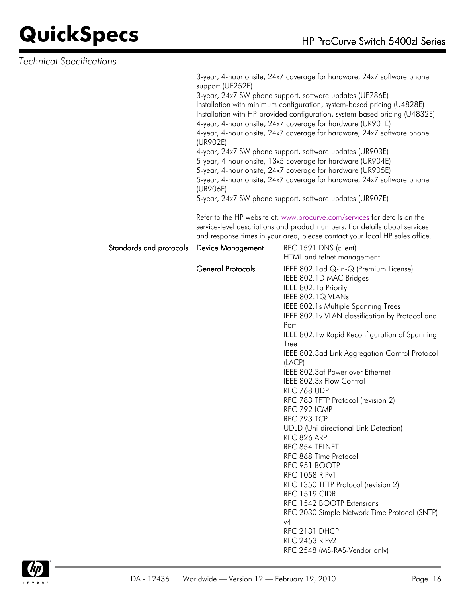| Technical Specifications |                                          |                                                                                                                                                                                                                                                                                                                                                                                                                                                                                                                                                                                                                                                                                                                                                                                                                                                                                        |
|--------------------------|------------------------------------------|----------------------------------------------------------------------------------------------------------------------------------------------------------------------------------------------------------------------------------------------------------------------------------------------------------------------------------------------------------------------------------------------------------------------------------------------------------------------------------------------------------------------------------------------------------------------------------------------------------------------------------------------------------------------------------------------------------------------------------------------------------------------------------------------------------------------------------------------------------------------------------------|
|                          | support (UE252E)<br>(UR902E)<br>(UR906E) | 3-year, 4-hour onsite, 24x7 coverage for hardware, 24x7 software phone<br>3-year, 24x7 SW phone support, software updates (UF786E)<br>Installation with minimum configuration, system-based pricing (U4828E)<br>Installation with HP-provided configuration, system-based pricing (U4832E)<br>4-year, 4-hour onsite, 24x7 coverage for hardware (UR901E)<br>4-year, 4-hour onsite, 24x7 coverage for hardware, 24x7 software phone<br>4-year, 24x7 SW phone support, software updates (UR903E)<br>5-year, 4-hour onsite, 13x5 coverage for hardware (UR904E)<br>5-year, 4-hour onsite, 24x7 coverage for hardware (UR905E)<br>5-year, 4-hour onsite, 24x7 coverage for hardware, 24x7 software phone<br>5-year, 24x7 SW phone support, software updates (UR907E)<br>Refer to the HP website at: www.procurve.com/services for details on the                                           |
|                          |                                          | service-level descriptions and product numbers. For details about services<br>and response times in your area, please contact your local HP sales office.                                                                                                                                                                                                                                                                                                                                                                                                                                                                                                                                                                                                                                                                                                                              |
| Standards and protocols  | <b>Device Management</b>                 | RFC 1591 DNS (client)<br>HTML and telnet management                                                                                                                                                                                                                                                                                                                                                                                                                                                                                                                                                                                                                                                                                                                                                                                                                                    |
|                          | <b>General Protocols</b>                 | IEEE 802.1 ad Q-in-Q (Premium License)<br>IEEE 802.1D MAC Bridges<br>IEEE 802.1p Priority<br>IEEE 802.1Q VLANs<br>IEEE 802.1s Multiple Spanning Trees<br>IEEE 802.1v VLAN classification by Protocol and<br>Port<br>IEEE 802.1w Rapid Reconfiguration of Spanning<br>Tree<br>IEEE 802.3ad Link Aggregation Control Protocol<br>(LACP)<br>IEEE 802.3af Power over Ethernet<br>IEEE 802.3x Flow Control<br>RFC 768 UDP<br>RFC 783 TFTP Protocol (revision 2)<br>RFC 792 ICMP<br>RFC 793 TCP<br><b>UDLD</b> (Uni-directional Link Detection)<br><b>RFC 826 ARP</b><br>RFC 854 TELNET<br>RFC 868 Time Protocol<br>RFC 951 BOOTP<br><b>RFC 1058 RIPv1</b><br>RFC 1350 TFTP Protocol (revision 2)<br><b>RFC 1519 CIDR</b><br>RFC 1542 BOOTP Extensions<br>RFC 2030 Simple Network Time Protocol (SNTP)<br>v4<br>RFC 2131 DHCP<br>RFC 2453 RIP <sub>v2</sub><br>RFC 2548 (MS-RAS-Vendor only) |

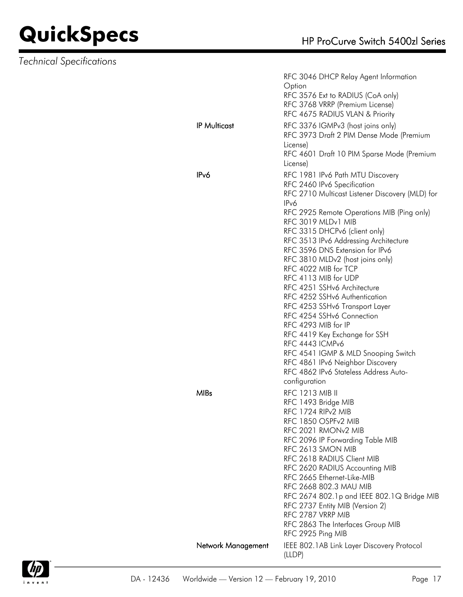|                     | RFC 3046 DHCP Relay Agent Information<br>Option                           |
|---------------------|---------------------------------------------------------------------------|
|                     | RFC 3576 Ext to RADIUS (CoA only)                                         |
|                     | RFC 3768 VRRP (Premium License)                                           |
|                     | RFC 4675 RADIUS VLAN & Priority                                           |
| <b>IP Multicast</b> | RFC 3376 IGMPv3 (host joins only)                                         |
|                     | RFC 3973 Draft 2 PIM Dense Mode (Premium                                  |
|                     | License)                                                                  |
|                     | RFC 4601 Draft 10 PIM Sparse Mode (Premium                                |
|                     | License)                                                                  |
| IP <sub>v</sub> 6   | RFC 1981 IPv6 Path MTU Discovery                                          |
|                     | RFC 2460 IPv6 Specification                                               |
|                     | RFC 2710 Multicast Listener Discovery (MLD) for                           |
|                     | IPv6                                                                      |
|                     | RFC 2925 Remote Operations MIB (Ping only)                                |
|                     | RFC 3019 MLDv1 MIB                                                        |
|                     | RFC 3315 DHCPv6 (client only)                                             |
|                     | RFC 3513 IPv6 Addressing Architecture<br>RFC 3596 DNS Extension for IPv6  |
|                     | RFC 3810 MLDv2 (host joins only)                                          |
|                     | RFC 4022 MIB for TCP                                                      |
|                     | RFC 4113 MIB for UDP                                                      |
|                     | RFC 4251 SSHv6 Architecture                                               |
|                     | RFC 4252 SSHv6 Authentication                                             |
|                     | RFC 4253 SSHv6 Transport Layer                                            |
|                     | RFC 4254 SSHv6 Connection                                                 |
|                     | RFC 4293 MIB for IP                                                       |
|                     | RFC 4419 Key Exchange for SSH                                             |
|                     | RFC 4443 ICMPv6                                                           |
|                     | RFC 4541 IGMP & MLD Snooping Switch                                       |
|                     | RFC 4861 IPv6 Neighbor Discovery<br>RFC 4862 IPv6 Stateless Address Auto- |
|                     | configuration                                                             |
| <b>MIBs</b>         |                                                                           |
|                     | <b>RFC 1213 MIB II</b><br>RFC 1493 Bridge MIB                             |
|                     | RFC 1724 RIPv2 MIB                                                        |
|                     | RFC 1850 OSPFv2 MIB                                                       |
|                     | RFC 2021 RMON <sub>v2</sub> MIB                                           |
|                     | RFC 2096 IP Forwarding Table MIB                                          |
|                     | RFC 2613 SMON MIB                                                         |
|                     | RFC 2618 RADIUS Client MIB                                                |
|                     | RFC 2620 RADIUS Accounting MIB                                            |
|                     | RFC 2665 Ethernet-Like-MIB                                                |
|                     | RFC 2668 802.3 MAU MIB                                                    |
|                     | RFC 2674 802.1p and IEEE 802.1Q Bridge MIB                                |
|                     | RFC 2737 Entity MIB (Version 2)                                           |
|                     | RFC 2787 VRRP MIB<br>RFC 2863 The Interfaces Group MIB                    |
|                     | RFC 2925 Ping MIB                                                         |
|                     |                                                                           |
| Network Management  | IEEE 802.1AB Link Layer Discovery Protocol                                |
|                     | (LLDP)                                                                    |

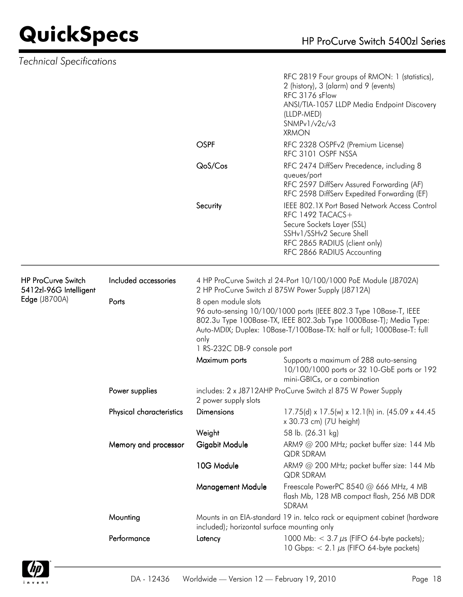|                                                                             |                          |                                                                                                                                                                                                                                                                                 | RFC 2819 Four groups of RMON: 1 (statistics),<br>2 (history), 3 (alarm) and 9 (events)<br>RFC 3176 sFlow<br>ANSI/TIA-1057 LLDP Media Endpoint Discovery<br>(LLDP-MED)<br>SNMPv1/v2c/v3<br><b>XRMON</b> |  |
|-----------------------------------------------------------------------------|--------------------------|---------------------------------------------------------------------------------------------------------------------------------------------------------------------------------------------------------------------------------------------------------------------------------|--------------------------------------------------------------------------------------------------------------------------------------------------------------------------------------------------------|--|
|                                                                             |                          | <b>OSPF</b>                                                                                                                                                                                                                                                                     | RFC 2328 OSPFv2 (Premium License)<br>RFC 3101 OSPF NSSA                                                                                                                                                |  |
|                                                                             |                          | QoS/Cos                                                                                                                                                                                                                                                                         | RFC 2474 DiffServ Precedence, including 8<br>queues/port<br>RFC 2597 DiffServ Assured Forwarding (AF)<br>RFC 2598 DiffServ Expedited Forwarding (EF)                                                   |  |
|                                                                             |                          | Security                                                                                                                                                                                                                                                                        | IEEE 802.1X Port Based Network Access Control<br>RFC 1492 TACACS+<br>Secure Sockets Layer (SSL)<br>SSHv1/SSHv2 Secure Shell<br>RFC 2865 RADIUS (client only)<br>RFC 2866 RADIUS Accounting             |  |
| <b>HP ProCurve Switch</b><br>5412zl-96G Intelligent<br><b>Edge (J8700A)</b> | Included accessories     | 4 HP ProCurve Switch zl 24-Port 10/100/1000 PoE Module (J8702A)<br>2 HP ProCurve Switch zl 875W Power Supply (J8712A)                                                                                                                                                           |                                                                                                                                                                                                        |  |
|                                                                             | Ports                    | 8 open module slots<br>96 auto-sensing 10/100/1000 ports (IEEE 802.3 Type 10Base-T, IEEE<br>802.3u Type 100Base-TX, IEEE 802.3ab Type 1000Base-T); Media Type:<br>Auto-MDIX; Duplex: 10Base-T/100Base-TX: half or full; 1000Base-T: full<br>only<br>1 RS-232C DB-9 console port |                                                                                                                                                                                                        |  |
|                                                                             |                          | Maximum ports                                                                                                                                                                                                                                                                   | Supports a maximum of 288 auto-sensing<br>10/100/1000 ports or 32 10-GbE ports or 192<br>mini-GBICs, or a combination                                                                                  |  |
|                                                                             | Power supplies           | includes: 2 x J8712AHP ProCurve Switch zl 875 W Power Supply<br>2 power supply slots                                                                                                                                                                                            |                                                                                                                                                                                                        |  |
|                                                                             | Physical characteristics | <b>Dimensions</b>                                                                                                                                                                                                                                                               | 17.75(d) x 17.5(w) x 12.1(h) in. (45.09 x 44.45<br>x 30.73 cm) (7U height)                                                                                                                             |  |
|                                                                             |                          | Weight                                                                                                                                                                                                                                                                          | 58 lb. (26.31 kg)                                                                                                                                                                                      |  |
|                                                                             | Memory and processor     | Gigabit Module                                                                                                                                                                                                                                                                  | ARM9 @ 200 MHz; packet buffer size: 144 Mb<br>QDR SDRAM                                                                                                                                                |  |
|                                                                             |                          | 10G Module                                                                                                                                                                                                                                                                      | ARM9 @ 200 MHz; packet buffer size: 144 Mb<br>QDR SDRAM                                                                                                                                                |  |
|                                                                             |                          | <b>Management Module</b>                                                                                                                                                                                                                                                        | Freescale PowerPC 8540 @ 666 MHz, 4 MB<br>flash Mb, 128 MB compact flash, 256 MB DDR<br>SDRAM                                                                                                          |  |
|                                                                             | Mounting                 | Mounts in an EIA-standard 19 in. telco rack or equipment cabinet (hardware<br>included); horizontal surface mounting only                                                                                                                                                       |                                                                                                                                                                                                        |  |
|                                                                             | Performance              | Latency                                                                                                                                                                                                                                                                         | 1000 Mb: $<$ 3.7 $\mu$ s (FIFO 64-byte packets);<br>10 Gbps: $< 2.1 \mu s$ (FIFO 64-byte packets)                                                                                                      |  |

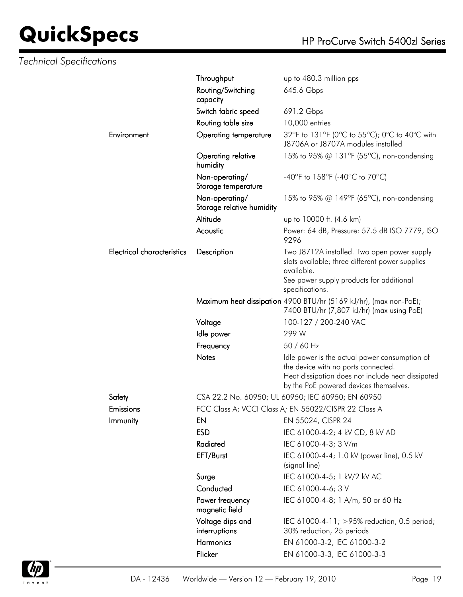|                                   | Throughput                                  | up to 480.3 million pps                                                                                                                                                             |
|-----------------------------------|---------------------------------------------|-------------------------------------------------------------------------------------------------------------------------------------------------------------------------------------|
|                                   | Routing/Switching<br>capacity               | 645.6 Gbps                                                                                                                                                                          |
|                                   | Switch fabric speed                         | 691.2 Gbps                                                                                                                                                                          |
|                                   | Routing table size                          | 10,000 entries                                                                                                                                                                      |
| Environment                       | <b>Operating temperature</b>                | 32°F to 131°F (0°C to 55°C); 0°C to 40°C with<br>J8706A or J8707A modules installed                                                                                                 |
|                                   | Operating relative<br>humidity              | 15% to 95% @ 131°F (55°C), non-condensing                                                                                                                                           |
|                                   | Non-operating/<br>Storage temperature       | -40°F to 158°F (-40°C to 70°C)                                                                                                                                                      |
|                                   | Non-operating/<br>Storage relative humidity | 15% to 95% @ 149°F (65°C), non-condensing                                                                                                                                           |
|                                   | Altitude                                    | up to 10000 ft. (4.6 km)                                                                                                                                                            |
|                                   | Acoustic                                    | Power: 64 dB, Pressure: 57.5 dB ISO 7779, ISO<br>9296                                                                                                                               |
| <b>Electrical characteristics</b> | Description                                 | Two J8712A installed. Two open power supply<br>slots available; three different power supplies<br>available.                                                                        |
|                                   |                                             | See power supply products for additional<br>specifications.                                                                                                                         |
|                                   |                                             | Maximum heat dissipation 4900 BTU/hr (5169 kJ/hr), (max non-PoE);<br>7400 BTU/hr (7,807 kJ/hr) (max using PoE)                                                                      |
|                                   | Voltage                                     | 100-127 / 200-240 VAC                                                                                                                                                               |
|                                   | Idle power                                  | 299 W                                                                                                                                                                               |
|                                   | Frequency                                   | 50 / 60 Hz                                                                                                                                                                          |
|                                   | <b>Notes</b>                                | Idle power is the actual power consumption of<br>the device with no ports connected.<br>Heat dissipation does not include heat dissipated<br>by the PoE powered devices themselves. |
| Safety                            |                                             | CSA 22.2 No. 60950; UL 60950; IEC 60950; EN 60950                                                                                                                                   |
| Emissions                         |                                             | FCC Class A; VCCI Class A; EN 55022/CISPR 22 Class A                                                                                                                                |
| Immunity                          | EN                                          | EN 55024, CISPR 24                                                                                                                                                                  |
|                                   | <b>ESD</b>                                  | IEC 61000-4-2; 4 kV CD, 8 kV AD                                                                                                                                                     |
|                                   | Radiated                                    | IEC 61000-4-3; 3 V/m                                                                                                                                                                |
|                                   | EFT/Burst                                   | IEC 61000-4-4; 1.0 kV (power line), 0.5 kV<br>(signal line)                                                                                                                         |
|                                   | Surge                                       | IEC 61000-4-5; 1 kV/2 kV AC                                                                                                                                                         |
|                                   | Conducted                                   | IEC 61000-4-6; 3 V                                                                                                                                                                  |
|                                   | Power frequency<br>magnetic field           | IEC 61000-4-8; 1 A/m, 50 or 60 Hz                                                                                                                                                   |
|                                   | Voltage dips and<br>interruptions           | IEC 61000-4-11; >95% reduction, 0.5 period;<br>30% reduction, 25 periods                                                                                                            |
|                                   | Harmonics                                   | EN 61000-3-2, IEC 61000-3-2                                                                                                                                                         |
|                                   | Flicker                                     | EN 61000-3-3, IEC 61000-3-3                                                                                                                                                         |
|                                   |                                             |                                                                                                                                                                                     |

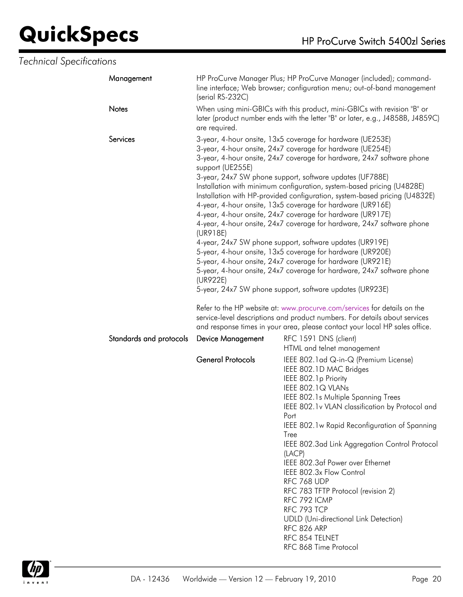| <b>Technical Specifications</b> |                         |                                                                                                                                                                                                                                                                                                                                                                                                                                                                                                                                                                                                                                                                                                                                                                                                                                                                                                                                                                                                        |                                                                                                                                                                                                                                                                                                                                                                                                                                                                                                                                                                                                            |
|---------------------------------|-------------------------|--------------------------------------------------------------------------------------------------------------------------------------------------------------------------------------------------------------------------------------------------------------------------------------------------------------------------------------------------------------------------------------------------------------------------------------------------------------------------------------------------------------------------------------------------------------------------------------------------------------------------------------------------------------------------------------------------------------------------------------------------------------------------------------------------------------------------------------------------------------------------------------------------------------------------------------------------------------------------------------------------------|------------------------------------------------------------------------------------------------------------------------------------------------------------------------------------------------------------------------------------------------------------------------------------------------------------------------------------------------------------------------------------------------------------------------------------------------------------------------------------------------------------------------------------------------------------------------------------------------------------|
|                                 | Management              | (serial RS-232C)                                                                                                                                                                                                                                                                                                                                                                                                                                                                                                                                                                                                                                                                                                                                                                                                                                                                                                                                                                                       | HP ProCurve Manager Plus; HP ProCurve Manager (included); command-<br>line interface; Web browser; configuration menu; out-of-band management                                                                                                                                                                                                                                                                                                                                                                                                                                                              |
|                                 | Notes                   | are required.                                                                                                                                                                                                                                                                                                                                                                                                                                                                                                                                                                                                                                                                                                                                                                                                                                                                                                                                                                                          | When using mini-GBICs with this product, mini-GBICs with revision "B" or<br>later (product number ends with the letter "B" or later, e.g., J4858B, J4859C)                                                                                                                                                                                                                                                                                                                                                                                                                                                 |
|                                 | Services                | 3-year, 4-hour onsite, 13x5 coverage for hardware (UE253E)<br>3-year, 4-hour onsite, 24x7 coverage for hardware (UE254E)<br>3-year, 4-hour onsite, 24x7 coverage for hardware, 24x7 software phone<br>support (UE255E)<br>3-year, 24x7 SW phone support, software updates (UF788E)<br>Installation with minimum configuration, system-based pricing (U4828E)<br>Installation with HP-provided configuration, system-based pricing (U4832E)<br>4-year, 4-hour onsite, 13x5 coverage for hardware (UR916E)<br>4-year, 4-hour onsite, 24x7 coverage for hardware (UR917E)<br>4-year, 4-hour onsite, 24x7 coverage for hardware, 24x7 software phone<br>(UR918E)<br>4-year, 24x7 SW phone support, software updates (UR919E)<br>5-year, 4-hour onsite, 13x5 coverage for hardware (UR920E)<br>5-year, 4-hour onsite, 24x7 coverage for hardware (UR921E)<br>5-year, 4-hour onsite, 24x7 coverage for hardware, 24x7 software phone<br>(UR922E)<br>5-year, 24x7 SW phone support, software updates (UR923E) |                                                                                                                                                                                                                                                                                                                                                                                                                                                                                                                                                                                                            |
|                                 |                         |                                                                                                                                                                                                                                                                                                                                                                                                                                                                                                                                                                                                                                                                                                                                                                                                                                                                                                                                                                                                        | Refer to the HP website at: www.procurve.com/services for details on the<br>service-level descriptions and product numbers. For details about services<br>and response times in your area, please contact your local HP sales office.                                                                                                                                                                                                                                                                                                                                                                      |
|                                 | Standards and protocols | <b>Device Management</b>                                                                                                                                                                                                                                                                                                                                                                                                                                                                                                                                                                                                                                                                                                                                                                                                                                                                                                                                                                               | RFC 1591 DNS (client)<br>HTML and telnet management                                                                                                                                                                                                                                                                                                                                                                                                                                                                                                                                                        |
|                                 |                         | <b>General Protocols</b>                                                                                                                                                                                                                                                                                                                                                                                                                                                                                                                                                                                                                                                                                                                                                                                                                                                                                                                                                                               | IEEE 802.1 ad Q-in-Q (Premium License)<br>IEEE 802.1D MAC Bridges<br>IEEE 802.1p Priority<br>IEEE 802.1Q VLANs<br>IEEE 802.1s Multiple Spanning Trees<br>IEEE 802.1v VLAN classification by Protocol and<br>Port<br>IEEE 802.1w Rapid Reconfiguration of Spanning<br>Tree<br>IEEE 802.3ad Link Aggregation Control Protocol<br>(LACP)<br>IEEE 802.3af Power over Ethernet<br>IEEE 802.3x Flow Control<br>RFC 768 UDP<br>RFC 783 TFTP Protocol (revision 2)<br>RFC 792 ICMP<br>RFC 793 TCP<br><b>UDLD</b> (Uni-directional Link Detection)<br><b>RFC 826 ARP</b><br>RFC 854 TELNET<br>RFC 868 Time Protocol |

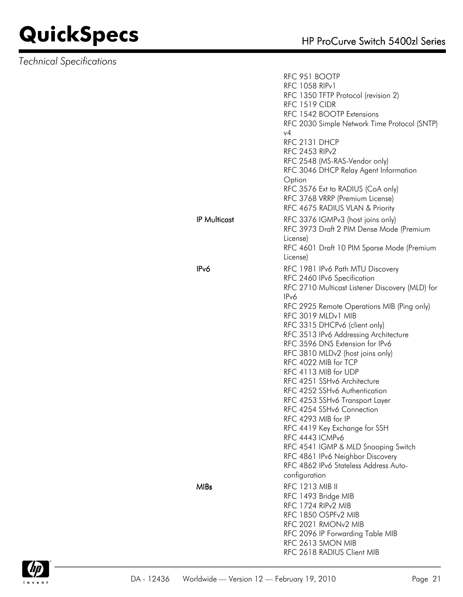|                     | RFC 951 BOOTP<br><b>RFC 1058 RIPv1</b><br>RFC 1350 TFTP Protocol (revision 2)<br><b>RFC 1519 CIDR</b><br>RFC 1542 BOOTP Extensions<br>RFC 2030 Simple Network Time Protocol (SNTP)<br>v4 |
|---------------------|------------------------------------------------------------------------------------------------------------------------------------------------------------------------------------------|
|                     | RFC 2131 DHCP<br>RFC 2453 RIP <sub>v2</sub><br>RFC 2548 (MS-RAS-Vendor only)<br>RFC 3046 DHCP Relay Agent Information                                                                    |
|                     | Option<br>RFC 3576 Ext to RADIUS (CoA only)<br>RFC 3768 VRRP (Premium License)<br>RFC 4675 RADIUS VLAN & Priority                                                                        |
| <b>IP Multicast</b> | RFC 3376 IGMPv3 (host joins only)<br>RFC 3973 Draft 2 PIM Dense Mode (Premium<br>License)<br>RFC 4601 Draft 10 PIM Sparse Mode (Premium                                                  |
| IP <sub>v</sub> 6   | License)<br>RFC 1981 IPv6 Path MTU Discovery<br>RFC 2460 IPv6 Specification                                                                                                              |
|                     | RFC 2710 Multicast Listener Discovery (MLD) for<br>IPv6                                                                                                                                  |
|                     | RFC 2925 Remote Operations MIB (Ping only)<br>RFC 3019 MLDv1 MIB<br>RFC 3315 DHCPv6 (client only)                                                                                        |
|                     | RFC 3513 IPv6 Addressing Architecture<br>RFC 3596 DNS Extension for IPv6                                                                                                                 |
|                     | RFC 3810 MLDv2 (host joins only)<br>RFC 4022 MIB for TCP                                                                                                                                 |
|                     | RFC 4113 MIB for UDP<br>RFC 4251 SSHv6 Architecture<br>RFC 4252 SSHv6 Authentication                                                                                                     |
|                     | RFC 4253 SSHv6 Transport Layer<br>RFC 4254 SSHv6 Connection                                                                                                                              |
|                     | RFC 4293 MIB for IP<br>RFC 4419 Key Exchange for SSH<br>RFC 4443 ICMPv6                                                                                                                  |
|                     | RFC 4541 IGMP & MLD Snooping Switch<br>RFC 4861 IPv6 Neighbor Discovery<br>RFC 4862 IPv6 Stateless Address Auto-                                                                         |
| <b>MIBs</b>         | configuration<br><b>RFC 1213 MIB II</b>                                                                                                                                                  |
|                     | RFC 1493 Bridge MIB<br>RFC 1724 RIP <sub>v2</sub> MIB<br>RFC 1850 OSPFv2 MIB<br>RFC 2021 RMONv2 MIB                                                                                      |
|                     | RFC 2096 IP Forwarding Table MIB<br>RFC 2613 SMON MIB<br>RFC 2618 RADIUS Client MIB                                                                                                      |

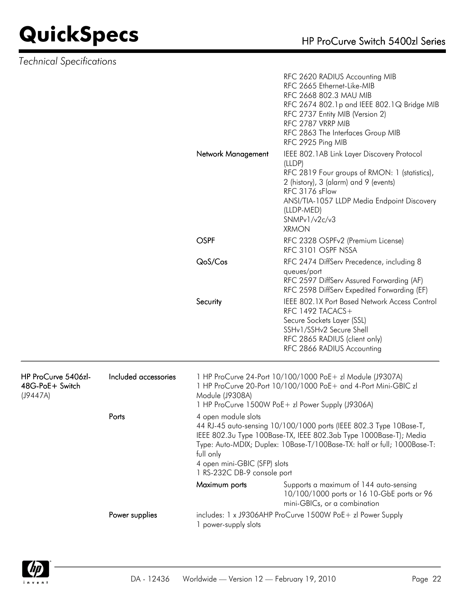|                                                    |                      |                                                                                                                                                                                                     | RFC 2620 RADIUS Accounting MIB<br>RFC 2665 Ethernet-Like-MIB<br>RFC 2668 802.3 MAU MIB<br>RFC 2674 802.1p and IEEE 802.1Q Bridge MIB<br>RFC 2737 Entity MIB (Version 2)<br>RFC 2787 VRRP MIB<br>RFC 2863 The Interfaces Group MIB<br>RFC 2925 Ping MIB         |  |
|----------------------------------------------------|----------------------|-----------------------------------------------------------------------------------------------------------------------------------------------------------------------------------------------------|----------------------------------------------------------------------------------------------------------------------------------------------------------------------------------------------------------------------------------------------------------------|--|
|                                                    |                      | Network Management                                                                                                                                                                                  | IEEE 802.1AB Link Layer Discovery Protocol<br>(LLDP)<br>RFC 2819 Four groups of RMON: 1 (statistics),<br>2 (history), 3 (alarm) and 9 (events)<br>RFC 3176 sFlow<br>ANSI/TIA-1057 LLDP Media Endpoint Discovery<br>(LLDP-MED)<br>SNMPv1/v2c/v3<br><b>XRMON</b> |  |
|                                                    |                      | <b>OSPF</b>                                                                                                                                                                                         | RFC 2328 OSPFv2 (Premium License)<br>RFC 3101 OSPF NSSA                                                                                                                                                                                                        |  |
|                                                    |                      | QoS/Cos                                                                                                                                                                                             | RFC 2474 DiffServ Precedence, including 8                                                                                                                                                                                                                      |  |
|                                                    |                      |                                                                                                                                                                                                     | queues/port<br>RFC 2597 DiffServ Assured Forwarding (AF)<br>RFC 2598 DiffServ Expedited Forwarding (EF)                                                                                                                                                        |  |
|                                                    |                      | Security                                                                                                                                                                                            | IEEE 802.1X Port Based Network Access Control<br>RFC 1492 TACACS+<br>Secure Sockets Layer (SSL)<br>SSHv1/SSHv2 Secure Shell<br>RFC 2865 RADIUS (client only)<br>RFC 2866 RADIUS Accounting                                                                     |  |
| HP ProCurve 5406zl-<br>48G-PoE+ Switch<br>(J9447A) | Included accessories | 1 HP ProCurve 24-Port 10/100/1000 PoE+ zl Module (J9307A)<br>1 HP ProCurve 20-Port 10/100/1000 PoE+ and 4-Port Mini-GBIC zl<br>Module (J9308A)<br>1 HP ProCurve 1500W PoE+ zl Power Supply (J9306A) |                                                                                                                                                                                                                                                                |  |
|                                                    | Ports                | 4 open module slots<br>full only<br>4 open mini-GBIC (SFP) slots                                                                                                                                    | 44 RJ-45 auto-sensing 10/100/1000 ports (IEEE 802.3 Type 10Base-T,<br>IEEE 802.3u Type 100Base-TX, IEEE 802.3ab Type 1000Base-T); Media<br>Type: Auto-MDIX; Duplex: 10Base-T/100Base-TX: half or full; 1000Base-T:                                             |  |
|                                                    |                      | 1 RS-232C DB-9 console port<br>Maximum ports                                                                                                                                                        | Supports a maximum of 144 auto-sensing<br>10/100/1000 ports or 16 10-GbE ports or 96                                                                                                                                                                           |  |
|                                                    |                      |                                                                                                                                                                                                     | mini-GBICs, or a combination                                                                                                                                                                                                                                   |  |
|                                                    | Power supplies       | includes: 1 x J9306AHP ProCurve 1500W PoE+ zl Power Supply<br>1 power-supply slots                                                                                                                  |                                                                                                                                                                                                                                                                |  |

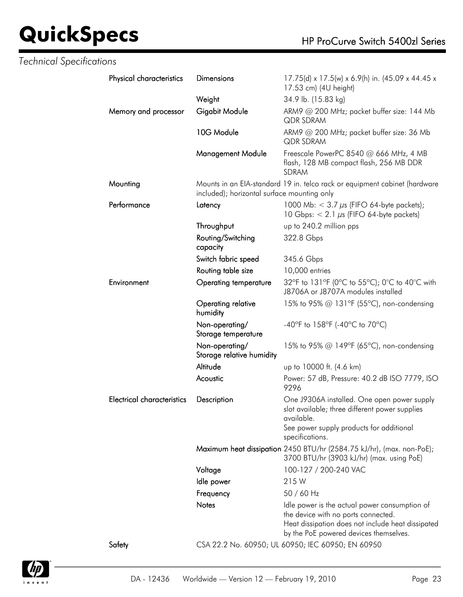| <b>Technical Specifications</b> |                            |                                             |                                                                                                                                                                                     |
|---------------------------------|----------------------------|---------------------------------------------|-------------------------------------------------------------------------------------------------------------------------------------------------------------------------------------|
|                                 | Physical characteristics   | <b>Dimensions</b>                           | 17.75(d) x 17.5(w) x 6.9(h) in. (45.09 x 44.45 x<br>17.53 cm) (4U height)                                                                                                           |
|                                 |                            | Weight                                      | 34.9 lb. (15.83 kg)                                                                                                                                                                 |
|                                 | Memory and processor       | Gigabit Module                              | ARM9 @ 200 MHz; packet buffer size: 144 Mb<br><b>QDR SDRAM</b>                                                                                                                      |
|                                 |                            | 10G Module                                  | ARM9 @ 200 MHz; packet buffer size: 36 Mb<br>QDR SDRAM                                                                                                                              |
|                                 |                            | <b>Management Module</b>                    | Freescale PowerPC 8540 @ 666 MHz, 4 MB<br>flash, 128 MB compact flash, 256 MB DDR<br>SDRAM                                                                                          |
|                                 | Mounting                   | included); horizontal surface mounting only | Mounts in an EIA-standard 19 in. telco rack or equipment cabinet (hardware                                                                                                          |
|                                 | Performance                | Latency                                     | 1000 Mb: $<$ 3.7 $\mu$ s (FIFO 64-byte packets);<br>10 Gbps: $< 2.1 \mu s$ (FIFO 64-byte packets)                                                                                   |
|                                 |                            | Throughput                                  | up to 240.2 million pps                                                                                                                                                             |
|                                 |                            | Routing/Switching<br>capacity               | 322.8 Gbps                                                                                                                                                                          |
|                                 |                            | Switch fabric speed                         | 345.6 Gbps                                                                                                                                                                          |
|                                 |                            | Routing table size                          | 10,000 entries                                                                                                                                                                      |
|                                 | Environment                | <b>Operating temperature</b>                | 32°F to 131°F (0°C to 55°C); 0°C to 40°C with<br>J8706A or J8707A modules installed                                                                                                 |
|                                 |                            | Operating relative<br>humidity              | 15% to 95% @ 131°F (55°C), non-condensing                                                                                                                                           |
|                                 |                            | Non-operating/<br>Storage temperature       | -40°F to 158°F (-40°C to 70°C)                                                                                                                                                      |
|                                 |                            | Non-operating/<br>Storage relative humidity | 15% to 95% @ 149°F (65°C), non-condensing                                                                                                                                           |
|                                 |                            | Altitude                                    | up to 10000 ft. (4.6 km)                                                                                                                                                            |
|                                 |                            | Acoustic                                    | Power: 57 dB, Pressure: 40.2 dB ISO 7779, ISO<br>9296                                                                                                                               |
|                                 | Electrical characteristics | Description                                 | One J9306A installed. One open power supply<br>slot available; three different power supplies<br>available.<br>See power supply products for additional                             |
|                                 |                            |                                             | specifications.                                                                                                                                                                     |
|                                 |                            |                                             | Maximum heat dissipation 2450 BTU/hr (2584.75 kJ/hr), (max. non-PoE);<br>3700 BTU/hr (3903 kJ/hr) (max. using PoE)                                                                  |
|                                 |                            | Voltage                                     | 100-127 / 200-240 VAC                                                                                                                                                               |
|                                 |                            | Idle power                                  | 215W                                                                                                                                                                                |
|                                 |                            | Frequency                                   | 50 / 60 Hz                                                                                                                                                                          |
|                                 |                            | <b>Notes</b>                                | Idle power is the actual power consumption of<br>the device with no ports connected.<br>Heat dissipation does not include heat dissipated<br>by the PoE powered devices themselves. |
|                                 | Safety                     |                                             | CSA 22.2 No. 60950; UL 60950; IEC 60950; EN 60950                                                                                                                                   |

inv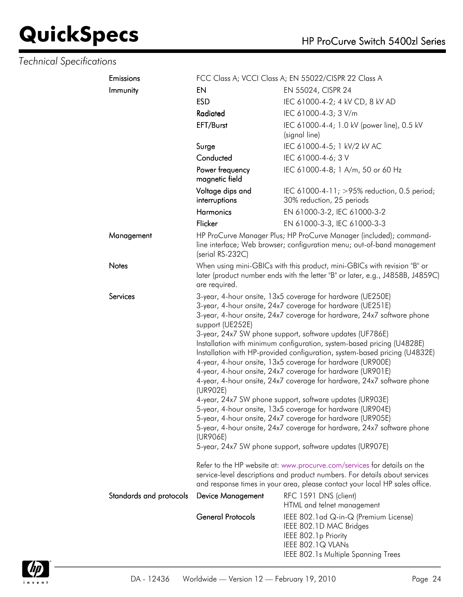| Emissions               | FCC Class A; VCCI Class A; EN 55022/CISPR 22 Class A                                                                                                                                                                                                                                                                                                                                                                                                                                                                                                                                                                                                                                                                                                                                                                                                                                                                                                                                                   |                                                                                                                                                                                                                                       |  |
|-------------------------|--------------------------------------------------------------------------------------------------------------------------------------------------------------------------------------------------------------------------------------------------------------------------------------------------------------------------------------------------------------------------------------------------------------------------------------------------------------------------------------------------------------------------------------------------------------------------------------------------------------------------------------------------------------------------------------------------------------------------------------------------------------------------------------------------------------------------------------------------------------------------------------------------------------------------------------------------------------------------------------------------------|---------------------------------------------------------------------------------------------------------------------------------------------------------------------------------------------------------------------------------------|--|
| Immunity                | EN                                                                                                                                                                                                                                                                                                                                                                                                                                                                                                                                                                                                                                                                                                                                                                                                                                                                                                                                                                                                     | EN 55024, CISPR 24                                                                                                                                                                                                                    |  |
|                         | <b>ESD</b>                                                                                                                                                                                                                                                                                                                                                                                                                                                                                                                                                                                                                                                                                                                                                                                                                                                                                                                                                                                             | IEC 61000-4-2; 4 kV CD, 8 kV AD                                                                                                                                                                                                       |  |
|                         | Radiated                                                                                                                                                                                                                                                                                                                                                                                                                                                                                                                                                                                                                                                                                                                                                                                                                                                                                                                                                                                               | IEC 61000-4-3; 3 V/m                                                                                                                                                                                                                  |  |
|                         | EFT/Burst                                                                                                                                                                                                                                                                                                                                                                                                                                                                                                                                                                                                                                                                                                                                                                                                                                                                                                                                                                                              | IEC 61000-4-4; 1.0 kV (power line), 0.5 kV<br>(signal line)                                                                                                                                                                           |  |
|                         | Surge                                                                                                                                                                                                                                                                                                                                                                                                                                                                                                                                                                                                                                                                                                                                                                                                                                                                                                                                                                                                  | IEC 61000-4-5; 1 kV/2 kV AC                                                                                                                                                                                                           |  |
|                         | Conducted                                                                                                                                                                                                                                                                                                                                                                                                                                                                                                                                                                                                                                                                                                                                                                                                                                                                                                                                                                                              | IEC 61000-4-6; 3 V                                                                                                                                                                                                                    |  |
|                         | Power frequency<br>magnetic field                                                                                                                                                                                                                                                                                                                                                                                                                                                                                                                                                                                                                                                                                                                                                                                                                                                                                                                                                                      | IEC 61000-4-8; 1 A/m, 50 or 60 Hz                                                                                                                                                                                                     |  |
|                         | Voltage dips and<br>interruptions                                                                                                                                                                                                                                                                                                                                                                                                                                                                                                                                                                                                                                                                                                                                                                                                                                                                                                                                                                      | IEC 61000-4-11; >95% reduction, 0.5 period;<br>30% reduction, 25 periods                                                                                                                                                              |  |
|                         | <b>Harmonics</b>                                                                                                                                                                                                                                                                                                                                                                                                                                                                                                                                                                                                                                                                                                                                                                                                                                                                                                                                                                                       | EN 61000-3-2, IEC 61000-3-2                                                                                                                                                                                                           |  |
|                         | Flicker                                                                                                                                                                                                                                                                                                                                                                                                                                                                                                                                                                                                                                                                                                                                                                                                                                                                                                                                                                                                | EN 61000-3-3, IEC 61000-3-3                                                                                                                                                                                                           |  |
| Management              | (serial RS-232C)                                                                                                                                                                                                                                                                                                                                                                                                                                                                                                                                                                                                                                                                                                                                                                                                                                                                                                                                                                                       | HP ProCurve Manager Plus; HP ProCurve Manager (included); command-<br>line interface; Web browser; configuration menu; out-of-band management                                                                                         |  |
| <b>Notes</b>            | When using mini-GBICs with this product, mini-GBICs with revision "B" or<br>later (product number ends with the letter "B" or later, e.g., J4858B, J4859C)<br>are required.                                                                                                                                                                                                                                                                                                                                                                                                                                                                                                                                                                                                                                                                                                                                                                                                                            |                                                                                                                                                                                                                                       |  |
| Services                | 3-year, 4-hour onsite, 13x5 coverage for hardware (UE250E)<br>3-year, 4-hour onsite, 24x7 coverage for hardware (UE251E)<br>3-year, 4-hour onsite, 24x7 coverage for hardware, 24x7 software phone<br>support (UE252E)<br>3-year, 24x7 SW phone support, software updates (UF786E)<br>Installation with minimum configuration, system-based pricing (U4828E)<br>Installation with HP-provided configuration, system-based pricing (U4832E)<br>4-year, 4-hour onsite, 13x5 coverage for hardware (UR900E)<br>4-year, 4-hour onsite, 24x7 coverage for hardware (UR901E)<br>4-year, 4-hour onsite, 24x7 coverage for hardware, 24x7 software phone<br>(UR902E)<br>4-year, 24x7 SW phone support, software updates (UR903E)<br>5-year, 4-hour onsite, 13x5 coverage for hardware (UR904E)<br>5-year, 4-hour onsite, 24x7 coverage for hardware (UR905E)<br>5-year, 4-hour onsite, 24x7 coverage for hardware, 24x7 software phone<br>(UR906E)<br>5-year, 24x7 SW phone support, software updates (UR907E) |                                                                                                                                                                                                                                       |  |
|                         |                                                                                                                                                                                                                                                                                                                                                                                                                                                                                                                                                                                                                                                                                                                                                                                                                                                                                                                                                                                                        | Refer to the HP website at: www.procurve.com/services for details on the<br>service-level descriptions and product numbers. For details about services<br>and response times in your area, please contact your local HP sales office. |  |
| Standards and protocols | <b>Device Management</b>                                                                                                                                                                                                                                                                                                                                                                                                                                                                                                                                                                                                                                                                                                                                                                                                                                                                                                                                                                               | RFC 1591 DNS (client)<br>HTML and telnet management                                                                                                                                                                                   |  |
|                         | <b>General Protocols</b>                                                                                                                                                                                                                                                                                                                                                                                                                                                                                                                                                                                                                                                                                                                                                                                                                                                                                                                                                                               | IEEE 802.1 ad Q-in-Q (Premium License)<br>IEEE 802.1D MAC Bridges<br>IEEE 802.1p Priority<br>IEEE 802.1Q VLANs<br>IEEE 802.1s Multiple Spanning Trees                                                                                 |  |

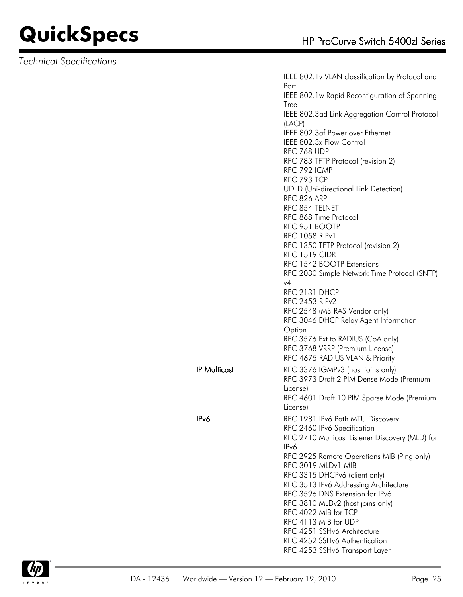*Technical Specifications*

IEEE 802.1v VLAN classification by Protocol and Port IEEE 802.1w Rapid Reconfiguration of Spanning Tree IEEE 802.3ad Link Aggregation Control Protocol (LACP) IEEE 802.3af Power over Ethernet IEEE 802.3x Flow Control RFC 768 UDP RFC 783 TFTP Protocol (revision 2) RFC 792 ICMP RFC 793 TCP UDLD (Uni-directional Link Detection) RFC 826 ARP RFC 854 TELNET RFC 868 Time Protocol RFC 951 BOOTP RFC 1058 RIPv1 RFC 1350 TFTP Protocol (revision 2) RFC 1519 CIDR RFC 1542 BOOTP Extensions RFC 2030 Simple Network Time Protocol (SNTP) v4 RFC 2131 DHCP RFC 2453 RIPv2 RFC 2548 (MS-RAS-Vendor only) RFC 3046 DHCP Relay Agent Information **Option** RFC 3576 Ext to RADIUS (CoA only) RFC 3768 VRRP (Premium License) RFC 4675 RADIUS VLAN & Priority IP Multicast RFC 3376 IGMPv3 (host joins only) RFC 3973 Draft 2 PIM Dense Mode (Premium License) RFC 4601 Draft 10 PIM Sparse Mode (Premium License) IPv6 RFC 1981 IPv6 Path MTU Discovery RFC 2460 IPv6 Specification RFC 2710 Multicast Listener Discovery (MLD) for IPv6 RFC 2925 Remote Operations MIB (Ping only) RFC 3019 MLDv1 MIB RFC 3315 DHCPv6 (client only) RFC 3513 IPv6 Addressing Architecture RFC 3596 DNS Extension for IPv6 RFC 3810 MLDv2 (host joins only) RFC 4022 MIB for TCP RFC 4113 MIB for UDP RFC 4251 SSHv6 Architecture RFC 4252 SSHv6 Authentication RFC 4253 SSHv6 Transport Layer

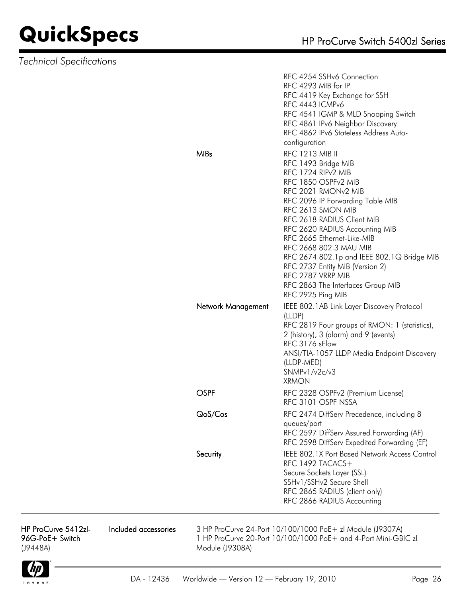*Technical Specifications*

|                    | RFC 4254 SSHv6 Connection<br>RFC 4293 MIB for IP<br>RFC 4419 Key Exchange for SSH<br>RFC 4443 ICMPv6<br>RFC 4541 IGMP & MLD Snooping Switch<br>RFC 4861 IPv6 Neighbor Discovery<br>RFC 4862 IPv6 Stateless Address Auto-<br>configuration                                                                                                                                                                                                                                                  |
|--------------------|--------------------------------------------------------------------------------------------------------------------------------------------------------------------------------------------------------------------------------------------------------------------------------------------------------------------------------------------------------------------------------------------------------------------------------------------------------------------------------------------|
| <b>MIBs</b>        | <b>RFC 1213 MIB II</b><br>RFC 1493 Bridge MIB<br>RFC 1724 RIP <sub>v2</sub> MIB<br>RFC 1850 OSPFv2 MIB<br>RFC 2021 RMON <sub>v2</sub> MIB<br>RFC 2096 IP Forwarding Table MIB<br>RFC 2613 SMON MIB<br>RFC 2618 RADIUS Client MIB<br>RFC 2620 RADIUS Accounting MIB<br>RFC 2665 Ethernet-Like-MIB<br>RFC 2668 802.3 MAU MIB<br>RFC 2674 802.1p and IEEE 802.1Q Bridge MIB<br>RFC 2737 Entity MIB (Version 2)<br>RFC 2787 VRRP MIB<br>RFC 2863 The Interfaces Group MIB<br>RFC 2925 Ping MIB |
| Network Management | IEEE 802.1AB Link Layer Discovery Protocol<br>(LLDP)<br>RFC 2819 Four groups of RMON: 1 (statistics),<br>2 (history), 3 (alarm) and 9 (events)<br>RFC 3176 sFlow<br>ANSI/TIA-1057 LLDP Media Endpoint Discovery<br>(LLDP-MED)<br>SNMPv1/v2c/v3<br><b>XRMON</b>                                                                                                                                                                                                                             |
| OSPF               | RFC 2328 OSPFv2 (Premium License)<br>RFC 3101 OSPF NSSA                                                                                                                                                                                                                                                                                                                                                                                                                                    |
| QoS/Cos            | RFC 2474 DiffServ Precedence, including 8<br>queues/port<br>RFC 2597 DiffServ Assured Forwarding (AF)<br>RFC 2598 DiffServ Expedited Forwarding (EF)                                                                                                                                                                                                                                                                                                                                       |
| Security           | <b>IEEE 802.1X Port Based Network Access Control</b><br>RFC 1492 TACACS +<br>Secure Sockets Layer (SSL)<br>SSHv1/SSHv2 Secure Shell<br>RFC 2865 RADIUS (client only)<br>RFC 2866 RADIUS Accounting                                                                                                                                                                                                                                                                                         |

HP ProCurve 5412zl-96G-PoE+ Switch (J9448A)

Included accessories 3 HP ProCurve 24-Port 10/100/1000 PoE+ zl Module (J9307A) 1 HP ProCurve 20-Port 10/100/1000 PoE+ and 4-Port Mini-GBIC zl Module (J9308A)

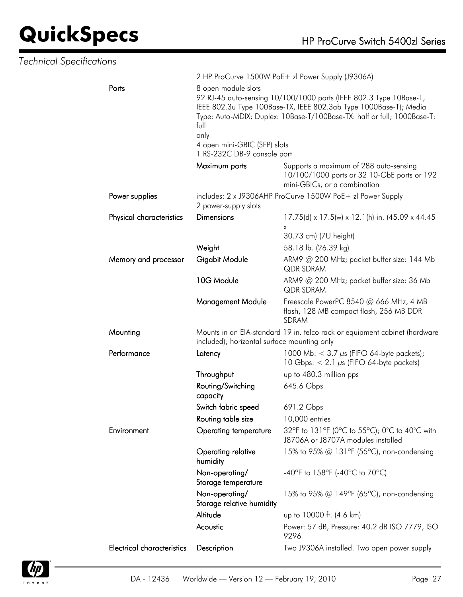| <b>Technical Specifications</b> |                                   |                                                                                                    |                                                                                                                                                                                                                    |
|---------------------------------|-----------------------------------|----------------------------------------------------------------------------------------------------|--------------------------------------------------------------------------------------------------------------------------------------------------------------------------------------------------------------------|
|                                 |                                   |                                                                                                    | 2 HP ProCurve 1500W PoE+ zl Power Supply (J9306A)                                                                                                                                                                  |
|                                 | Ports                             | 8 open module slots<br>full<br>only<br>4 open mini-GBIC (SFP) slots<br>1 RS-232C DB-9 console port | 92 RJ-45 auto-sensing 10/100/1000 ports (IEEE 802.3 Type 10Base-T,<br>IEEE 802.3u Type 100Base-TX, IEEE 802.3ab Type 1000Base-T); Media<br>Type: Auto-MDIX; Duplex: 10Base-T/100Base-TX: half or full; 1000Base-T: |
|                                 |                                   | Maximum ports                                                                                      | Supports a maximum of 288 auto-sensing<br>10/100/1000 ports or 32 10-GbE ports or 192<br>mini-GBICs, or a combination                                                                                              |
|                                 | Power supplies                    | 2 power-supply slots                                                                               | includes: 2 x J9306AHP ProCurve 1500W PoE+ zl Power Supply                                                                                                                                                         |
|                                 | Physical characteristics          | <b>Dimensions</b>                                                                                  | 17.75(d) x 17.5(w) x 12.1(h) in. (45.09 x 44.45<br>X<br>30.73 cm) (7U height)                                                                                                                                      |
|                                 |                                   | Weight                                                                                             | 58.18 lb. (26.39 kg)                                                                                                                                                                                               |
|                                 | Memory and processor              | Gigabit Module                                                                                     | ARM9 @ 200 MHz; packet buffer size: 144 Mb<br><b>QDR SDRAM</b>                                                                                                                                                     |
|                                 |                                   | 10G Module                                                                                         | ARM9 @ 200 MHz; packet buffer size: 36 Mb<br><b>QDR SDRAM</b>                                                                                                                                                      |
|                                 |                                   | <b>Management Module</b>                                                                           | Freescale PowerPC 8540 @ 666 MHz, 4 MB<br>flash, 128 MB compact flash, 256 MB DDR<br>SDRAM                                                                                                                         |
|                                 | Mounting                          | included); horizontal surface mounting only                                                        | Mounts in an EIA-standard 19 in. telco rack or equipment cabinet (hardware                                                                                                                                         |
|                                 | Performance                       | Latency                                                                                            | 1000 Mb: $<$ 3.7 $\mu$ s (FIFO 64-byte packets);<br>10 Gbps: $< 2.1 \mu s$ (FIFO 64-byte packets)                                                                                                                  |
|                                 |                                   | Throughput                                                                                         | up to 480.3 million pps                                                                                                                                                                                            |
|                                 |                                   | Routing/Switching<br>capacity                                                                      | 645.6 Gbps                                                                                                                                                                                                         |
|                                 |                                   | Switch fabric speed                                                                                | 691.2 Gbps                                                                                                                                                                                                         |
|                                 |                                   | Routing table size                                                                                 | 10,000 entries                                                                                                                                                                                                     |
|                                 | Environment                       | <b>Operating temperature</b>                                                                       | 32°F to 131°F (0°C to 55°C); 0°C to 40°C with<br>J8706A or J8707A modules installed                                                                                                                                |
|                                 |                                   | Operating relative<br>humidity                                                                     | 15% to 95% @ 131°F (55°C), non-condensing                                                                                                                                                                          |
|                                 |                                   | Non-operating/<br>Storage temperature                                                              | -40°F to 158°F (-40°C to 70°C)                                                                                                                                                                                     |
|                                 |                                   | Non-operating/<br>Storage relative humidity                                                        | 15% to 95% @ 149°F (65°C), non-condensing                                                                                                                                                                          |
|                                 |                                   | Altitude                                                                                           | up to 10000 ft. (4.6 km)                                                                                                                                                                                           |
|                                 |                                   | Acoustic                                                                                           | Power: 57 dB, Pressure: 40.2 dB ISO 7779, ISO<br>9296                                                                                                                                                              |
|                                 | <b>Electrical characteristics</b> | Description                                                                                        | Two J9306A installed. Two open power supply                                                                                                                                                                        |

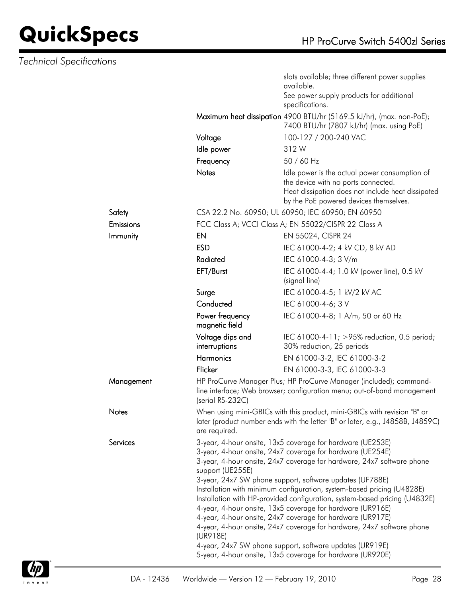|            |                                                                                                                                                                                                                      | slots available; three different power supplies<br>available.                                                                                                                       |  |  |
|------------|----------------------------------------------------------------------------------------------------------------------------------------------------------------------------------------------------------------------|-------------------------------------------------------------------------------------------------------------------------------------------------------------------------------------|--|--|
|            |                                                                                                                                                                                                                      | See power supply products for additional<br>specifications.                                                                                                                         |  |  |
|            |                                                                                                                                                                                                                      | Maximum heat dissipation 4900 BTU/hr (5169.5 kJ/hr), (max. non-PoE);<br>7400 BTU/hr (7807 kJ/hr) (max. using PoE)                                                                   |  |  |
|            | Voltage                                                                                                                                                                                                              | 100-127 / 200-240 VAC                                                                                                                                                               |  |  |
|            | Idle power                                                                                                                                                                                                           | 312 W                                                                                                                                                                               |  |  |
|            | Frequency                                                                                                                                                                                                            | 50 / 60 Hz                                                                                                                                                                          |  |  |
|            | <b>Notes</b>                                                                                                                                                                                                         | Idle power is the actual power consumption of<br>the device with no ports connected.<br>Heat dissipation does not include heat dissipated<br>by the PoE powered devices themselves. |  |  |
| Safety     |                                                                                                                                                                                                                      | CSA 22.2 No. 60950; UL 60950; IEC 60950; EN 60950                                                                                                                                   |  |  |
| Emissions  |                                                                                                                                                                                                                      | FCC Class A; VCCI Class A; EN 55022/CISPR 22 Class A                                                                                                                                |  |  |
| Immunity   | EN                                                                                                                                                                                                                   | EN 55024, CISPR 24                                                                                                                                                                  |  |  |
|            | <b>ESD</b>                                                                                                                                                                                                           | IEC 61000-4-2; 4 kV CD, 8 kV AD                                                                                                                                                     |  |  |
|            | Radiated                                                                                                                                                                                                             | IEC 61000-4-3; 3 V/m                                                                                                                                                                |  |  |
|            | EFT/Burst                                                                                                                                                                                                            | IEC 61000-4-4; 1.0 kV (power line), 0.5 kV<br>(signal line)                                                                                                                         |  |  |
|            | Surge                                                                                                                                                                                                                | IEC 61000-4-5; 1 kV/2 kV AC                                                                                                                                                         |  |  |
|            | Conducted                                                                                                                                                                                                            | IEC 61000-4-6; 3 V                                                                                                                                                                  |  |  |
|            | Power frequency<br>magnetic field                                                                                                                                                                                    | IEC 61000-4-8; 1 A/m, 50 or 60 Hz                                                                                                                                                   |  |  |
|            | Voltage dips and<br>interruptions                                                                                                                                                                                    | IEC 61000-4-11; >95% reduction, 0.5 period;<br>30% reduction, 25 periods                                                                                                            |  |  |
|            | <b>Harmonics</b>                                                                                                                                                                                                     | EN 61000-3-2, IEC 61000-3-2                                                                                                                                                         |  |  |
|            | Flicker                                                                                                                                                                                                              | EN 61000-3-3, IEC 61000-3-3                                                                                                                                                         |  |  |
| Management | (serial RS-232C)                                                                                                                                                                                                     | HP ProCurve Manager Plus; HP ProCurve Manager (included); command-<br>line interface; Web browser; configuration menu; out-of-band management                                       |  |  |
| Notes      | are required.                                                                                                                                                                                                        | When using mini-GBICs with this product, mini-GBICs with revision "B" or<br>later (product number ends with the letter "B" or later, e.g., J4858B, J4859C)                          |  |  |
| Services   |                                                                                                                                                                                                                      | 3-year, 4-hour onsite, 13x5 coverage for hardware (UE253E)                                                                                                                          |  |  |
|            | 3-year, 4-hour onsite, 24x7 coverage for hardware (UE254E)<br>3-year, 4-hour onsite, 24x7 coverage for hardware, 24x7 software phone<br>support (UE255E)<br>3-year, 24x7 SW phone support, software updates (UF788E) |                                                                                                                                                                                     |  |  |
|            |                                                                                                                                                                                                                      | Installation with minimum configuration, system-based pricing (U4828E)                                                                                                              |  |  |
|            | Installation with HP-provided configuration, system-based pricing (U4832E)                                                                                                                                           |                                                                                                                                                                                     |  |  |
|            | 4-year, 4-hour onsite, 13x5 coverage for hardware (UR916E)<br>4-year, 4-hour onsite, 24x7 coverage for hardware (UR917E)                                                                                             |                                                                                                                                                                                     |  |  |
|            | (UR918E)                                                                                                                                                                                                             | 4-year, 4-hour onsite, 24x7 coverage for hardware, 24x7 software phone                                                                                                              |  |  |
|            |                                                                                                                                                                                                                      | 4-year, 24x7 SW phone support, software updates (UR919E)<br>5-year, 4-hour onsite, 13x5 coverage for hardware (UR920E)                                                              |  |  |
|            |                                                                                                                                                                                                                      |                                                                                                                                                                                     |  |  |

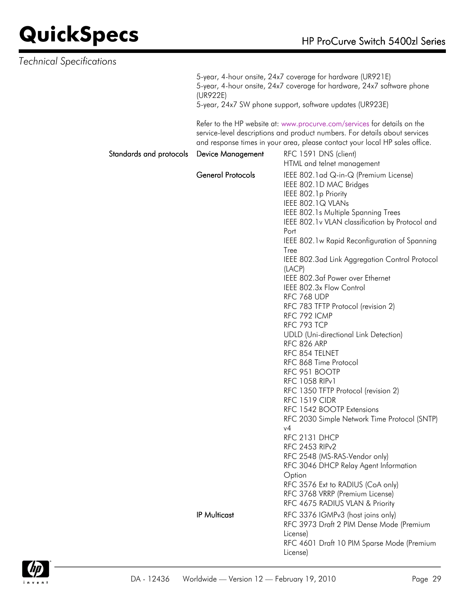| <b>Technical Specifications</b> |                          |                                                                                                                                                                                                                                                                                                                                                                                                                                                                                                                                                                                                                                                                                                                                                                                                                                                                                                                                                                                                                                                 |
|---------------------------------|--------------------------|-------------------------------------------------------------------------------------------------------------------------------------------------------------------------------------------------------------------------------------------------------------------------------------------------------------------------------------------------------------------------------------------------------------------------------------------------------------------------------------------------------------------------------------------------------------------------------------------------------------------------------------------------------------------------------------------------------------------------------------------------------------------------------------------------------------------------------------------------------------------------------------------------------------------------------------------------------------------------------------------------------------------------------------------------|
|                                 | (UR922E)                 | 5-year, 4-hour onsite, 24x7 coverage for hardware (UR921E)<br>5-year, 4-hour onsite, 24x7 coverage for hardware, 24x7 software phone                                                                                                                                                                                                                                                                                                                                                                                                                                                                                                                                                                                                                                                                                                                                                                                                                                                                                                            |
|                                 |                          | 5-year, 24x7 SW phone support, software updates (UR923E)                                                                                                                                                                                                                                                                                                                                                                                                                                                                                                                                                                                                                                                                                                                                                                                                                                                                                                                                                                                        |
|                                 |                          | Refer to the HP website at: www.procurve.com/services for details on the<br>service-level descriptions and product numbers. For details about services<br>and response times in your area, please contact your local HP sales office.                                                                                                                                                                                                                                                                                                                                                                                                                                                                                                                                                                                                                                                                                                                                                                                                           |
| Standards and protocols         | <b>Device Management</b> | RFC 1591 DNS (client)<br>HTML and telnet management                                                                                                                                                                                                                                                                                                                                                                                                                                                                                                                                                                                                                                                                                                                                                                                                                                                                                                                                                                                             |
|                                 | <b>General Protocols</b> | IEEE 802.1 ad Q-in-Q (Premium License)<br>IEEE 802.1D MAC Bridges<br>IEEE 802.1p Priority<br>IEEE 802.1Q VLANs<br>IEEE 802.1s Multiple Spanning Trees<br>IEEE 802.1v VLAN classification by Protocol and<br>Port<br>IEEE 802.1w Rapid Reconfiguration of Spanning<br>Tree<br>IEEE 802.3ad Link Aggregation Control Protocol<br>(LACP)<br>IEEE 802.3af Power over Ethernet<br>IEEE 802.3x Flow Control<br>RFC 768 UDP<br>RFC 783 TFTP Protocol (revision 2)<br>RFC 792 ICMP<br>RFC 793 TCP<br><b>UDLD</b> (Uni-directional Link Detection)<br><b>RFC 826 ARP</b><br>RFC 854 TELNET<br>RFC 868 Time Protocol<br>RFC 951 BOOTP<br><b>RFC 1058 RIPv1</b><br>RFC 1350 TFTP Protocol (revision 2)<br><b>RFC 1519 CIDR</b><br>RFC 1542 BOOTP Extensions<br>RFC 2030 Simple Network Time Protocol (SNTP)<br>v4<br>RFC 2131 DHCP<br><b>RFC 2453 RIPv2</b><br>RFC 2548 (MS-RAS-Vendor only)<br>RFC 3046 DHCP Relay Agent Information<br>Option<br>RFC 3576 Ext to RADIUS (CoA only)<br>RFC 3768 VRRP (Premium License)<br>RFC 4675 RADIUS VLAN & Priority |
|                                 | <b>IP Multicast</b>      | RFC 3376 IGMPv3 (host joins only)<br>RFC 3973 Draft 2 PIM Dense Mode (Premium<br>License)                                                                                                                                                                                                                                                                                                                                                                                                                                                                                                                                                                                                                                                                                                                                                                                                                                                                                                                                                       |
|                                 |                          | RFC 4601 Draft 10 PIM Sparse Mode (Premium<br>License)                                                                                                                                                                                                                                                                                                                                                                                                                                                                                                                                                                                                                                                                                                                                                                                                                                                                                                                                                                                          |

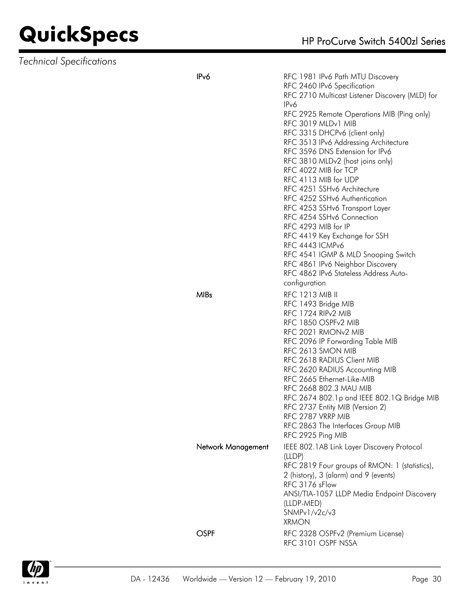### **QuickSpecs**

| HP ProCurve Switch 5400zl Series |  |  |
|----------------------------------|--|--|
|                                  |  |  |

| <b>Technical Specifications</b> |                    |                                                                                                                                                                                                                                                                                                                                                                                                                                                                                                                                                                                                                                                                                                                               |
|---------------------------------|--------------------|-------------------------------------------------------------------------------------------------------------------------------------------------------------------------------------------------------------------------------------------------------------------------------------------------------------------------------------------------------------------------------------------------------------------------------------------------------------------------------------------------------------------------------------------------------------------------------------------------------------------------------------------------------------------------------------------------------------------------------|
|                                 | IP <sub>v</sub> 6  | RFC 1981 IPv6 Path MTU Discovery<br>RFC 2460 IPv6 Specification<br>RFC 2710 Multicast Listener Discovery (MLD) for<br>IPv6<br>RFC 2925 Remote Operations MIB (Ping only)<br>RFC 3019 MLDv1 MIB<br>RFC 3315 DHCPv6 (client only)<br>RFC 3513 IPv6 Addressing Architecture<br>RFC 3596 DNS Extension for IPv6<br>RFC 3810 MLDv2 (host joins only)<br>RFC 4022 MIB for TCP<br>RFC 4113 MIB for UDP<br>RFC 4251 SSHv6 Architecture<br>RFC 4252 SSHv6 Authentication<br>RFC 4253 SSHv6 Transport Layer<br>RFC 4254 SSHv6 Connection<br>RFC 4293 MIB for IP<br>RFC 4419 Key Exchange for SSH<br>RFC 4443 ICMPv6<br>RFC 4541 IGMP & MLD Snooping Switch<br>RFC 4861 IPv6 Neighbor Discovery<br>RFC 4862 IPv6 Stateless Address Auto- |
|                                 | <b>MIBs</b>        | configuration<br><b>RFC 1213 MIB II</b><br>RFC 1493 Bridge MIB<br>RFC 1724 RIP <sub>v2</sub> MIB<br>RFC 1850 OSPFv2 MIB<br>RFC 2021 RMON <sub>v2</sub> MIB<br>RFC 2096 IP Forwarding Table MIB<br>RFC 2613 SMON MIB<br>RFC 2618 RADIUS Client MIB<br>RFC 2620 RADIUS Accounting MIB<br>RFC 2665 Ethernet-Like-MIB<br>RFC 2668 802.3 MAU MIB<br>RFC 2674 802.1p and IEEE 802.1Q Bridge MIB<br>RFC 2737 Entity MIB (Version 2)<br>RFC 2787 VRRP MIB<br>RFC 2863 The Interfaces Group MIB<br>RFC 2925 Ping MIB                                                                                                                                                                                                                   |
|                                 | Network Management | IEEE 802.1AB Link Layer Discovery Protocol<br>(LLDP)<br>RFC 2819 Four groups of RMON: 1 (statistics),<br>2 (history), 3 (alarm) and 9 (events)<br>RFC 3176 sFlow<br>ANSI/TIA-1057 LLDP Media Endpoint Discovery<br>(LLDP-MED)<br>SNMPv1/v2c/v3<br><b>XRMON</b>                                                                                                                                                                                                                                                                                                                                                                                                                                                                |
|                                 | <b>OSPF</b>        | RFC 2328 OSPFv2 (Premium License)<br>RFC 3101 OSPF NSSA                                                                                                                                                                                                                                                                                                                                                                                                                                                                                                                                                                                                                                                                       |

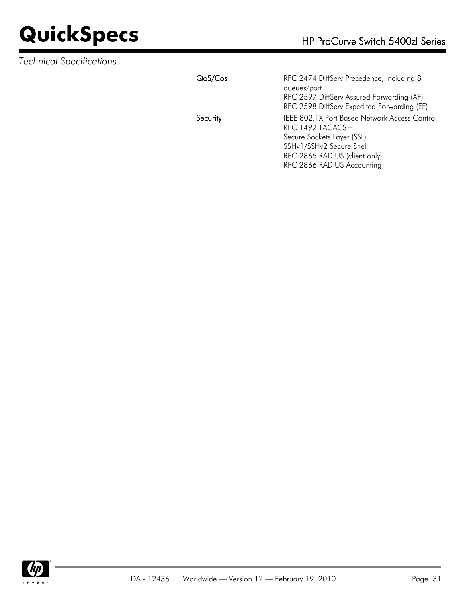| QoS/Cos  | RFC 2474 DiffServ Precedence, including 8     |
|----------|-----------------------------------------------|
|          | queues/port                                   |
|          | RFC 2597 DiffServ Assured Forwarding (AF)     |
|          | RFC 2598 DiffServ Expedited Forwarding (EF)   |
| Security | IEEE 802.1X Port Based Network Access Control |
|          | RFC 1492 TACACS $+$                           |
|          | Secure Sockets Layer (SSL)                    |
|          | SSHv1/SSHv2 Secure Shell                      |
|          | RFC 2865 RADIUS (client only)                 |
|          | RFC 2866 RADIUS Accounting                    |

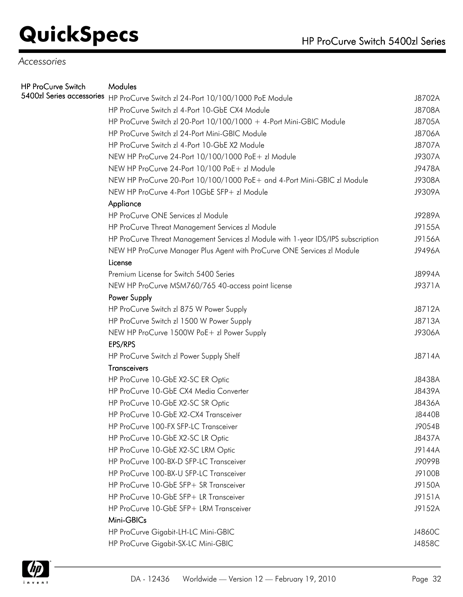### *Accessories*

| <b>HP ProCurve Switch</b> | Modules                                                                           |        |
|---------------------------|-----------------------------------------------------------------------------------|--------|
|                           | 5400zl Series accessories HP ProCurve Switch zl 24-Port 10/100/1000 PoE Module    | J8702A |
|                           | HP ProCurve Switch zl 4-Port 10-GbE CX4 Module                                    | J8708A |
|                           | HP ProCurve Switch zl 20-Port 10/100/1000 + 4-Port Mini-GBIC Module               | J8705A |
|                           | HP ProCurve Switch zl 24-Port Mini-GBIC Module                                    | J8706A |
|                           | HP ProCurve Switch zl 4-Port 10-GbE X2 Module                                     | J8707A |
|                           | NEW HP ProCurve 24-Port 10/100/1000 PoE+ zl Module                                | J9307A |
|                           | NEW HP ProCurve 24-Port 10/100 PoE+ zl Module                                     | J9478A |
|                           | NEW HP ProCurve 20-Port 10/100/1000 PoE+ and 4-Port Mini-GBIC zl Module           | J9308A |
|                           | NEW HP ProCurve 4-Port 10GbE SFP+ zl Module                                       | J9309A |
|                           | Appliance                                                                         |        |
|                           | HP ProCurve ONE Services zl Module                                                | J9289A |
|                           | HP ProCurve Threat Management Services zl Module                                  | J9155A |
|                           | HP ProCurve Threat Management Services zl Module with 1-year IDS/IPS subscription | J9156A |
|                           | NEW HP ProCurve Manager Plus Agent with ProCurve ONE Services zl Module           | J9496A |
|                           | License                                                                           |        |
|                           | Premium License for Switch 5400 Series                                            | J8994A |
|                           | NEW HP ProCurve MSM760/765 40-access point license                                | J9371A |
|                           | Power Supply                                                                      |        |
|                           | HP ProCurve Switch zl 875 W Power Supply                                          | J8712A |
|                           | HP ProCurve Switch zl 1500 W Power Supply                                         | J8713A |
|                           | NEW HP ProCurve 1500W PoE+ zl Power Supply                                        | J9306A |
|                           | EPS/RPS                                                                           |        |
|                           | HP ProCurve Switch zl Power Supply Shelf                                          | J8714A |
|                           | <b>Transceivers</b>                                                               |        |
|                           | HP ProCurve 10-GbE X2-SC ER Optic                                                 | J8438A |
|                           | HP ProCurve 10-GbE CX4 Media Converter                                            | J8439A |
|                           | HP ProCurve 10-GbE X2-SC SR Optic                                                 | J8436A |
|                           | HP ProCurve 10-GbE X2-CX4 Transceiver                                             | J8440B |
|                           | HP ProCurve 100-FX SFP-LC Transceiver                                             | J9054B |
|                           | HP ProCurve 10-GbE X2-SC LR Optic                                                 | J8437A |
|                           | HP ProCurve 10-GbE X2-SC LRM Optic                                                | J9144A |
|                           | HP ProCurve 100-BX-D SFP-LC Transceiver                                           | J9099B |
|                           | HP ProCurve 100-BX-U SFP-LC Transceiver                                           | J9100B |
|                           | HP ProCurve 10-GbE SFP+ SR Transceiver                                            | J9150A |
|                           | HP ProCurve 10-GbE SFP+ LR Transceiver                                            | J9151A |
|                           | HP ProCurve 10-GbE SFP+ LRM Transceiver                                           | J9152A |
|                           | Mini-GBICs                                                                        |        |
|                           | HP ProCurve Gigabit-LH-LC Mini-GBIC                                               | J4860C |
|                           | HP ProCurve Gigabit-SX-LC Mini-GBIC                                               | J4858C |
|                           |                                                                                   |        |